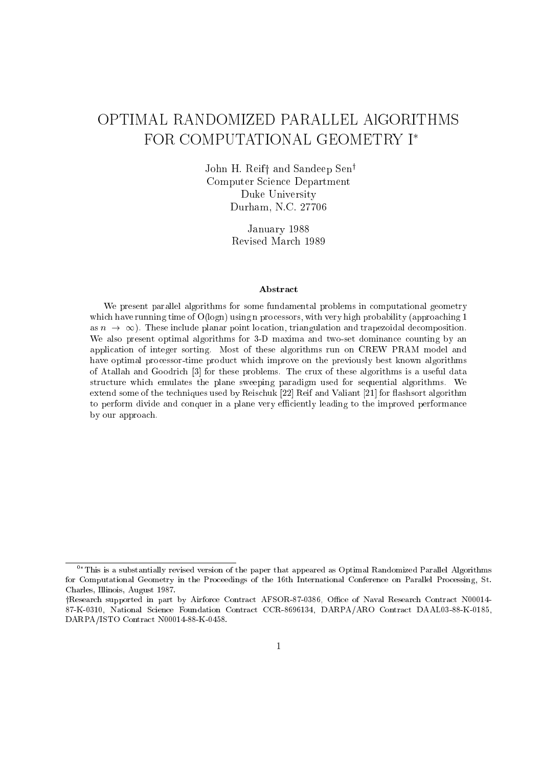# OPTIMAL RANDOMIZED PARALLEL AlGORITHMS FOR COMPUTATIONAL GEOMETRY I

John H. Reift and Sandeep Sen<sup>†</sup> Computer S
ien
e Department Duke University Durham, N.C. <sup>27706</sup>

> January <sup>1988</sup> Revised Mar
> h <sup>1989</sup>

#### **Abstract**

We present parallel algorithms for some fundamental problems in computational geometry which have running time of  $O(logn)$  using n processors, with very high probability (approaching 1) as  $n \to \infty$ ). These include planar point location, triangulation and trapezoidal decomposition. We also present optimal algorithms for 3-D maxima and two-set dominance counting by an appli
ation of integer sorting. Most of these algorithms run on CREW PRAM model and have optimal processor-time product which improve on the previously best known algorithms of Atallah and Goodrich [3] for these problems. The crux of these algorithms is a useful data structure which emulates the plane sweeping paradigm used for sequential algorithms. We extend some of the techniques used by Reischuk [22] Reif and Valiant [21] for flashsort algorithm to perform divide and conquer in a plane very efficiently leading to the improved performance by our approa
h.

This is a substantially revised version of the paper that appeared as Optimal Randomized Parallel Algorithms for Computational Geometry in the Proceedings of the 16th International Conference on Parallel Processing, St. Charles, Illinois, August 1987.

<sup>&</sup>lt;sup>†</sup>Research supported in part by Airforce Contract AFSOR-87-0386, Office of Naval Research Contract N00014-87-K-0310, National S
ien
e Foundation Contra
t CCR-8696134, DARPA/ARO Contra
t DAAL03-88-K-0185, DARPA/ISTO Contra
t N00014-88-K-0458.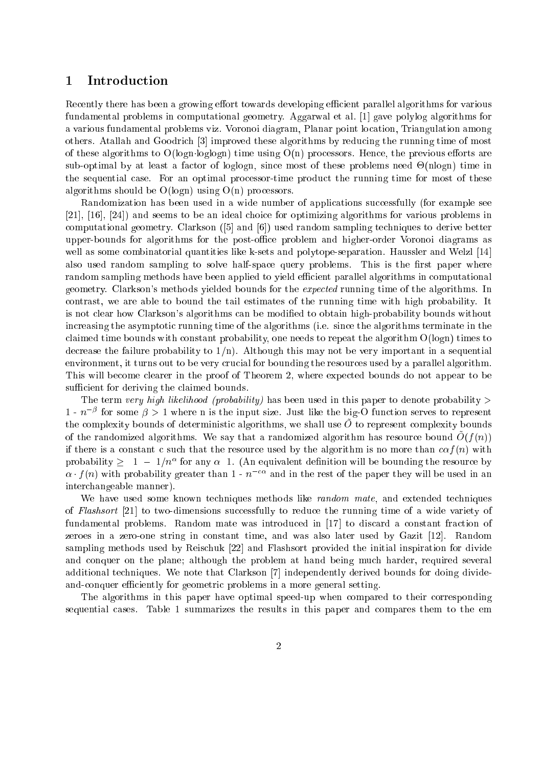## 1 Introduction

Recently there has been a growing effort towards developing efficient parallel algorithms for various fundamental problems in computational geometry. Aggarwal et al. [1] gave polylog algorithms for a various fundamental problems viz. Voronoi diagram, Planar point lo
ation, Triangulation among others. Atallah and Goodrich [3] improved these algorithms by reducing the running time of most of these algorithms to  $O(logn\cdot loglogn)$  time using  $O(n)$  processors. Hence, the previous efforts are sub-optimal by at least a fa
tor of loglogn, sin
e most of these problems need -(nlogn) time in the sequential ase. For an optimal pro
essor-time produ
t the running time for most of these algorithms should be  $O(logn)$  using  $O(n)$  processors.

Randomization has been used in a wide number of applications successfully (for example see  $[21]$ ,  $[16]$ ,  $[24]$  and seems to be an ideal choice for optimizing algorithms for various problems in computational geometry. Clarkson  $(5]$  and  $(6)$ ) used random sampling techniques to derive better upper-bounds for algorithms for the post-office problem and higher-order Voronoi diagrams as well as some combinatorial quantities like k-sets and polytope-separation. Haussler and Welzl [14] also used random sampling to solve half-space query problems. This is the first paper where random sampling methods have been applied to yield efficient parallel algorithms in computational geometry. Clarkson's methods yielded bounds for the expe
ted running time of the algorithms. In ontrast, we are able to bound the tail estimates of the running time with high probability. It is not lear how Clarkson's algorithms an be modied to obtain high-probability bounds without increasing the asymptotic running time of the algorithms (i.e. since the algorithms terminate in the claimed time bounds with constant probability, one needs to repeat the algorithm  $O(logn)$  times to decrease the failure probability to  $1/n$ ). Although this may not be very important in a sequential environment, it turns out to be very crucial for bounding the resources used by a parallel algorithm. This will be
ome learer in the proof of Theorem 2, where expe
ted bounds do not appear to be sufficient for deriving the claimed bounds.

The term very high likelihood (probability) has been used in this paper to denote probability  $>$  $1$  -  $n$   $\degree$  for some  $\rho > 1$  where n is the input size. Just like the big-O function serves to represent  $\mu$  complexity bounds of deterministic algorithms, we shall use  $O$  to represent complexity bounds of the randomized algorithms. We say that a randomized algorithm has resource bound  $O(\mu/\mu))$ if there is a constant c such that the resource used by the algorithm is no more than  $\alpha f(n)$  with probability  $>$  1 = 1/h for any  $\alpha$  1. (An equivalent definition will be bounding the resource by  $\alpha$  f(n) with probability greater than 1 -  $n^{-c\alpha}$  and in the rest of the paper they will be used in an inter
hangeable manner).

We have used some known techniques methods like *random mate*, and extended techniques of Flashsort [21] to two-dimensions successfully to reduce the running time of a wide variety of fundamental problems. Random mate was introduced in [17] to discard a constant fraction of zeroes in a zero-one string in constant time, and was also later used by Gazit  $[12]$ . Random sampling methods used by Reischuk [22] and Flashsort provided the initial inspiration for divide and onquer on the plane; although the problem at hand being mu
h harder, required several additional techniques. We note that Clarkson [7] independently derived bounds for doing divideand-conquer efficiently for geometric problems in a more general setting.

The algorithms in this paper have optimal speed-up when compared to their corresponding sequential ases. Table 1 summarizes the results in this paper and ompares them to the em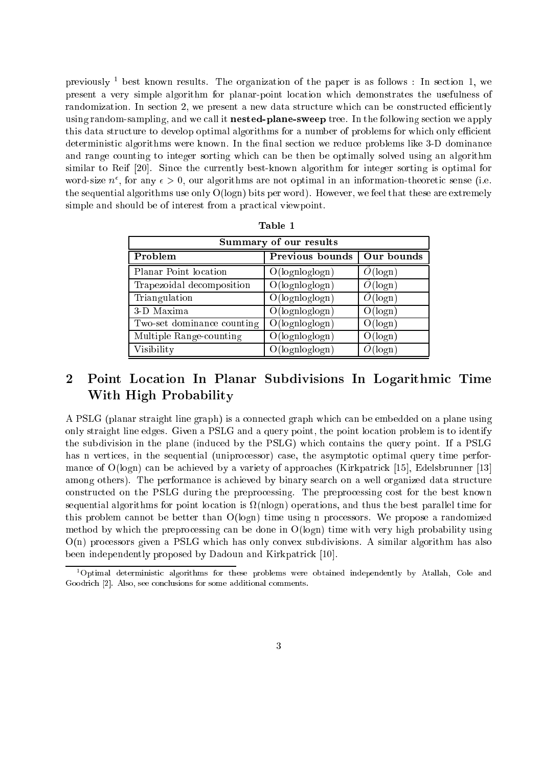previously <sup>1</sup> best known results. The organization of the paper is as follows : In se
tion 1, we present a very simple algorithm for planar-point lo
ation whi
h demonstrates the usefulness of randomization. In section 2, we present a new data structure which can be constructed efficiently using random-sampling, and we call it **nested-plane-sweep** tree. In the following section we apply this data structure to develop optimal algorithms for a number of problems for which only efficient deterministic algorithms were known. In the final section we reduce problems like 3-D dominance and range counting to integer sorting which can be then be optimally solved using an algorithm similar to Reif [20]. Since the currently best-known algorithm for integer sorting is optimal for word-size  $n$  , for any  $\epsilon > 0$ , our algorithms are not optimal in an information-theoretic sense (i.e. the sequential algorithms use only O(logn) bits per word). However, we feel that these are extremely simple and should be of interest from a practical viewpoint.

| Table |  |
|-------|--|
|       |  |

| <b>Summary of our results</b> |                 |             |
|-------------------------------|-----------------|-------------|
| Problem                       | Previous bounds | Our bounds  |
| Planar Point location         | O(lognloglogn)  | $O(\log n)$ |
| Trapezoidal decomposition     | O(lognloglog n) | $O(\log n)$ |
| Triangulation                 | O(lognloglogn)  | $O(\log n)$ |
| 3-D Maxima                    | O(lognloglogn)  | O(logn)     |
| Two-set dominance counting    | O(lognloglogn)  | O(logn)     |
| Multiple Range-counting       | O(lognloglogn)  | O(logn)     |
| Visibility                    | O(lognloglogn)  | $O(\log n)$ |

# 2 Point Location In Planar Subdivisions In Logarithmic Time With High Probability

A PSLG (planar straight line graph) is a onne
ted graph whi
h an be embedded on a plane using only straight line edges. Given a PSLG and a query point, the point lo
ation problem is to identify the subdivision in the plane (induced by the PSLG) which contains the query point. If a PSLG has n vertices, in the sequential (uniprocessor) case, the asymptotic optimal query time performance of O(logn) can be achieved by a variety of approaches (Kirkpatrick [15], Edelsbrunner [13] among others). The performance is achieved by binary search on a well organized data structure onstru
ted on the PSLG during the prepro
essing. The prepro
essing ost for the best known sequential algorithms for point lo
ation is (nlogn) operations, and thus the best parallel time for this problem cannot be better than  $O(logn)$  time using n processors. We propose a randomized method by which the preprocessing can be done in  $O(logn)$  time with very high probability using  $O(n)$  processors given a PSLG which has only convex subdivisions. A similar algorithm has also been independently proposed by Dadoun and Kirkpatrick [10].

Uptimal deterministic algorithms for these problems were obtained independently by Atallah, Cole and " Goodrich [2]. Also, see conclusions for some additional comments.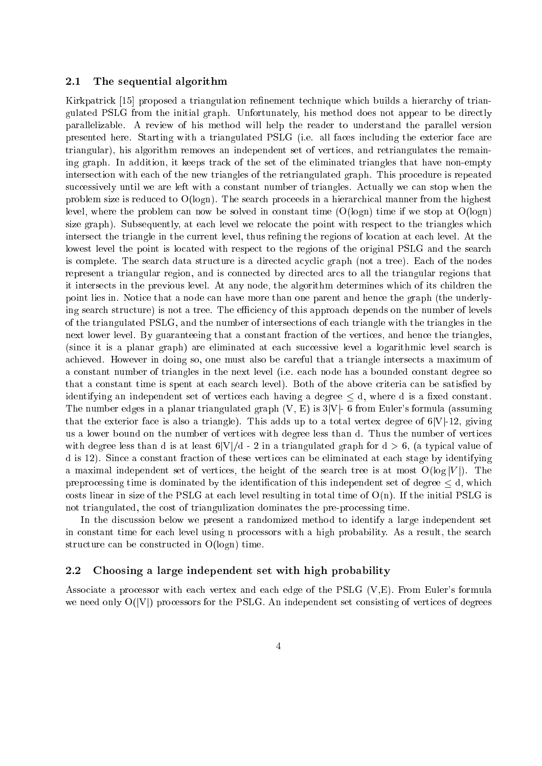#### 2.1 The sequential algorithm

Kirkpatrick [15] proposed a triangulation refinement technique which builds a hierarchy of triangulated PSLG from the initial graph. Unfortunately, his method does not appear to be directly parallelizable. A review of his method will help the reader to understand the parallel version presented here. Starting with a triangulated PSLG (i.e. all faces including the exterior face are triangular), his algorithm removes an independent set of verti
es, and retriangulates the remaining graph. In addition, it keeps track of the set of the eliminated triangles that have non-empty intersection with each of the new triangles of the retriangulated graph. This procedure is repeated successively until we are left with a constant number of triangles. Actually we can stop when the problem size is reduced to O(logn). The search proceeds in a hierarchical manner from the highest level, where the problem can now be solved in constant time  $(O(logn))$  time if we stop at  $O(logn)$ size graph). Subsequently, at each level we relocate the point with respect to the triangles which intersect the triangle in the current level, thus refining the regions of location at each level. At the lowest level the point is located with respect to the regions of the original PSLG and the search is complete. The search data structure is a directed acyclic graph (not a tree). Each of the nodes represent a triangular region, and is onne
ted by dire
ted ar
s to all the triangular regions that it interse
ts in the previous level. At any node, the algorithm determines whi
h of its hildren the point lies in. Notice that a node can have more than one parent and hence the graph (the underlying search structure) is not a tree. The efficiency of this approach depends on the number of levels of the triangulated PSLG, and the number of interse
tions of ea
h triangle with the triangles in the next lower level. By guaranteeing that a constant fraction of the vertices, and hence the triangles, (since it is a planar graph) are eliminated at each successive level a logarithmic level search is a
hieved. However in doing so, one must also be areful that a triangle interse
ts a maximum of a constant number of triangles in the next level (i.e. each node has a bounded constant degree so that a constant time is spent at each search level). Both of the above criteria can be satisfied by identifying an independent set of vertices each having a degree  $\leq d$ , where d is a fixed constant. The number edges in a planar triangulated graph  $(V, E)$  is  $3|V|$ - 6 from Euler's formula (assuming that the exterior face is also a triangle). This adds up to a total vertex degree of  $6|V|-12$ , giving us a lower bound on the number of verti
es with degree less than d. Thus the number of verti
es with degree less than d is at least  $6|V|/d - 2$  in a triangulated graph for  $d > 6$ , (a typical value of d is 12). Since a constant fraction of these vertices can be eliminated at each stage by identifying a maximal independent set of vertices, the height of the search tree is at most  $O(\log |V|)$ . The preprocessing time is dominated by the identification of this independent set of degree  $\leq d$ , which costs linear in size of the PSLG at each level resulting in total time of  $O(n)$ . If the initial PSLG is not triangulated, the ost of triangulization dominates the pre-pro
essing time.

In the discussion below we present a randomized method to identify a large independent set in constant time for each level using n processors with a high probability. As a result, the search structure can be constructed in O(logn) time.

#### 2.2 Choosing a large independent set with high probability

Associate a processor with each vertex and each edge of the PSLG (V,E). From Euler's formula we need only  $O(|V|)$  processors for the PSLG. An independent set consisting of vertices of degrees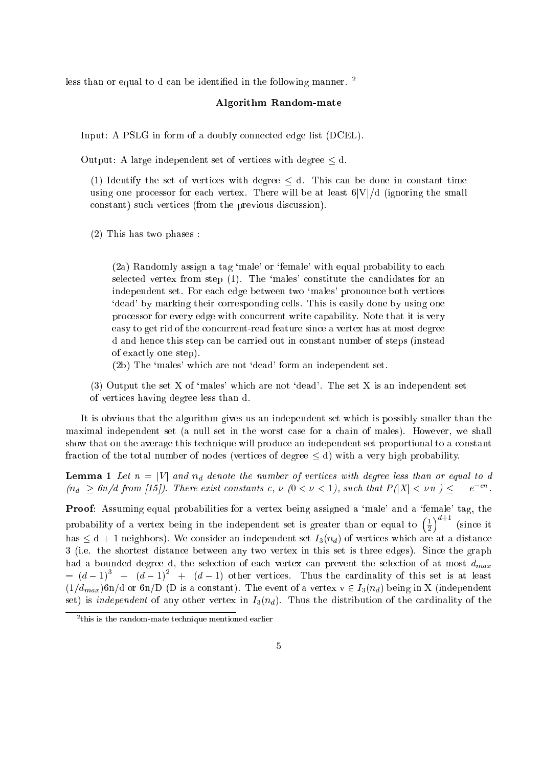less than or equal to d can be identified in the following manner.  $2$ 

### Algorithm Random-mate

Input: A PSLG in form of a doubly connected edge list (DCEL).

Output: A large independent set of vertices with degree  $\leq d$ .

(1) Identify the set of vertices with degree  $\leq d$ . This can be done in constant time using one processor for each vertex. There will be at least  $6|V|/d$  (ignoring the small onstant) su
h verti
es (from the previous dis
ussion).

(2) This has two phases :

(2a) Randomly assign a tag 'male' or 'female' with equal probability to each selected vertex from step (1). The 'males' constitute the candidates for an independent set. For each edge between two 'males' pronounce both vertices `dead' by marking their orresponding ells. This is easily done by using one pro
essor for every edge with on
urrent write apability. Note that it is very easy to get rid of the on
urrent-read feature sin
e a vertex has at most degree d and hen
e this step an be arried out in onstant number of steps (instead of exa
tly one step).

(2b) The `males' whi
h are not `dead' form an independent set.

(3) Output the set X of `males' whi
h are not `dead'. The set X is an independent set of verti
es having degree less than d.

It is obvious that the algorithm gives us an independent set whi
h is possibly smaller than the maximal independent set (a null set in the worst case for a chain of males). However, we shall show that on the average this technique will produce an independent set proportional to a constant fraction of the total number of nodes (vertices of degree  $\leq$  d) with a very high probability.

**Lemma 1** Let  $n = |V|$  and  $n_d$  denote the number of vertices with degree less than or equal to d  $(n_d \geq 6n/d \text{ from } (15])$ . There exist constants c,  $\nu$   $(0 < \nu < 1)$ , such that  $P(|X| < \nu n) \leq$  $e^{-cn}$ .

Proof: Assuming equal probabilities for a vertex being assigned a 'male' and a 'female' tag, the probability of a vertex being in the independent set is greater than or equal to  $\left(\frac{1}{2}\right)$  $\sqrt{a+1}$ e it is a set of the internal contract of the internal contract of the internal contract of the internal contract of the internal contract of the internal contract of the internal contract of the internal contract of the i has  $\leq d + 1$  neighbors). We consider an independent set  $I_3(n_d)$  of vertices which are at a distance 3 (i.e. the shortest distan
e between any two vertex in this set is three edges). Sin
e the graph had <sup>a</sup> bounded degree d, the sele
tion of ea
h vertex an prevent the sele
tion of at most dmax  $= (d-1)^+ + (d-1)^- + (d-1)$  other vertices. Thus the cardinality of this set is at least  $(1/d_{max})$ 6n/d or 6n/D (D is a constant). The event of a vertex  $v \in I_3(n_d)$  being in X (independent set) is *independent* of any other vertex in  $I_3(n_d)$ . Thus the distribution of the cardinality of the

tnis is the random-mate technique mentioned earlier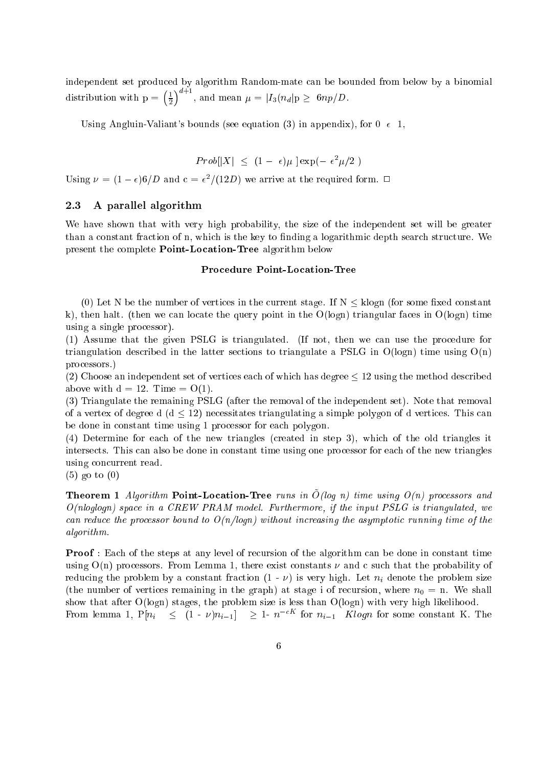independent set produ
ed by algorithm Random-mate an be bounded from below by a binomial  $\mathcal{L}$  distribution with  $\mathcal{L}$  and  $\mathcal{L}$  are proposed by  $\mathcal{L}$  $(1)$  $u+1$ , and means  $\mathbb{P}$  is a set of  $\mathbb{P}$  if  $\mathbb{P}$  is a set of  $\mathbb{P}$  if  $\mathbb{P}$  is a set of  $\mathbb{P}$ 

Using Angluin-Valiant's bounds (see equation (3) in appendix), for  $0 \in 1$ ,

$$
Prob[|X| \le (1 - \epsilon)\mu] \exp(-\epsilon^2 \mu/2)
$$

Using  $\nu = (1 - \epsilon) \delta / D$  and  $\epsilon = \epsilon^2 / (12D)$  we arrive at the required form.  $\Box$ 

#### 2.3 A parallel algorithm

We have shown that with very high probability, the size of the independent set will be greater than a constant fraction of n, which is the key to finding a logarithmic depth search structure. We present the complete **Point-Location-Tree** algorithm below

### Procedure Point-Location-Tree

(0) Let N be the number of vertices in the current stage. If  $N <$  klogn (for some fixed constant k), then halt. (then we can locate the query point in the  $O(logn)$  triangular faces in  $O(logn)$  time using a single pro
essor).

(1) Assume that the given PSLG is triangulated. (If not, then we an use the pro
edure for triangulation described in the latter sections to triangulate a PSLG in  $O(logn)$  time using  $O(n)$ pro
essors.)

 $(2)$  Choose an independent set of vertices each of which has degree  $\leq 12$  using the method described above with  $d = 12$ . Time =  $O(1)$ .

(3) Triangulate the remaining PSLG (after the removal of the independent set). Note that removal of a vertex of degree  $d$  ( $d \leq 12$ ) necessitates triangulating a simple polygon of d vertices. This can be done in constant time using 1 processor for each polygon.

(4) Determine for ea
h of the new triangles (
reated in step 3), whi
h of the old triangles it intersects. This can also be done in constant time using one processor for each of the new triangles using on
urrent read.

(5) go to (0)

**THEOLEM I** Algorithm **I Gille-Location-Tree** runs in O way by time using O(n) processors und O(nloglogn) spa
e in a CREW PRAM model. Furthermore, if the input PSLG is triangulated, we can reduce the processor bound to  $O(n/logn)$  without increasing the asymptotic running time of the algorithm.

**Proof**: Each of the steps at any level of recursion of the algorithm can be done in constant time using  $O(n)$  processors. From Lemma 1, there exist constants  $\nu$  and c such that the probability of reducing the problem by a constant fraction  $(1 - \nu)$  is very high. Let  $n_i$  denote the problem size  $\begin{array}{ccc} \text{(b)} & \text{(c)} & \text{(d)} & \text{(e)} & \text{(f)} & \text{(g)} & \text{(h)} & \text{(h)} & \text{(i)} & \text{(j)} & \text{(j)} & \text{(k)} & \text{(l)} & \text{(l)} & \text{(l)} & \text{(l)} & \text{(l)} & \text{(l)} & \text{(l)} & \text{(l)} & \text{(l)} & \text{(l)} & \text{(l)} & \text{(l)} & \text{(l)} & \text{(l)} & \text{(l)} & \text{(l)} & \text{(l)} & \text{(l)} & \text{(l)} & \text{(l)} & \text{(l)} & \text{(l)} & \text{(l)} & \text{($ show that after O(logn) stages, the problem size is less than O(logn) with very high likelihood. From lemma 1,  $P[n_i \leq (1 - \nu)n_{i-1}] \geq 1$ -  $n^{-cK}$  for  $n_{i-1}$  Klogn for some constant K. The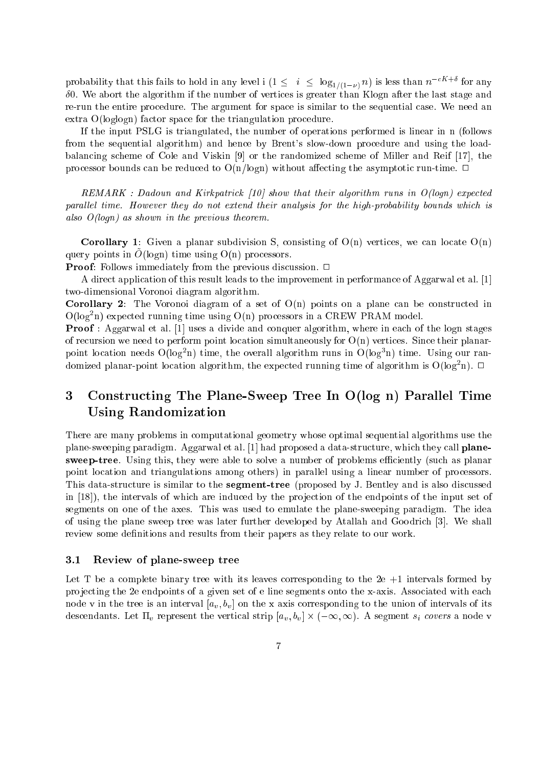probability that this fails to hold in any level  $1 (1 \leq i \leq \log_{1/(1-\nu)} n)$  is less than  $n$  if the lor any  $\delta$ 0. We abort the algorithm if the number of vertices is greater than Klogn after the last stage and re-run the entire procedure. The argument for space is similar to the sequential case. We need an extra O(loglogn) factor space for the triangulation procedure.

If the input PSLG is triangulated, the number of operations performed is linear in n (follows from the sequential algorithm) and hen
e by Brent's slow-down pro
edure and using the loadbalancing scheme of Cole and Viskin [9] or the randomized scheme of Miller and Reif [17], the processor bounds can be reduced to  $O(n/logn)$  without affecting the asymptotic run-time.  $\Box$ 

 $REMARK: Dadoun and Kirkpatrick [10] show that their algorithm runs in O(logn) expected$ parallel time. However they do not extend their analysis for the high-probability bounds which is also O(logn) as shown in the previous theorem.

**Corollary 1**: Given a planar subdivision S, consisting of  $O(n)$  vertices, we can locate  $O(n)$  $q$ uery points in  $O(10g)$ n, time using  $O(1)$  processors.

**Proof:** Follows immediately from the previous discussion.  $\Box$ 

A direct application of this result leads to the improvement in performance of Aggarwal et al. [1] two-dimensional Voronoi diagram algorithm.

**Corollary 2**: The Voronoi diagram of a set of  $O(n)$  points on a plane can be constructed in O(log<sup>2</sup> n) expe
ted running time using O(n) pro
essors in a CREW PRAM model.

**Proof**: Aggarwal et al. [1] uses a divide and conquer algorithm, where in each of the logn stages of recursion we need to perform point location simultaneously for  $O(n)$  vertices. Since their planarpoint location needs O(log<sup>-</sup>n) time, the overall algorithm runs in O(log<sup>-</sup>n) time. Using our randomized planar-point location algorithm, the expected running time of algorithm is  $O(\log|n)$ .  $\Box$ 

# 3 Constru
ting The Plane-Sweep Tree In O(log n) Parallel Time Using Randomization

There are many problems in computational geometry whose optimal sequential algorithms use the plane-sweeping paradigm. Aggarwal et al. [1] had proposed a data-structure, which they call **plane**sweep-tree. Using this, they were able to solve a number of problems efficiently (such as planar point location and triangulations among others) in parallel using a linear number of processors. This data-structure is similar to the **segment-tree** (proposed by J. Bentley and is also discussed in  $[18]$ , the intervals of which are induced by the projection of the endpoints of the input set of segments on one of the axes. This was used to emulate the plane-sweeping paradigm. The idea of using the plane sweep tree was later further developed by Atallah and Goodrich [3]. We shall review some definitions and results from their papers as they relate to our work.

### 3.1 Review of plane-sweep tree

Let T be a complete binary tree with its leaves corresponding to the  $2e + 1$  intervals formed by projecting the 2e endpoints of a given set of e line segments onto the x-axis. Associated with each node v in the tree is an interval  $[a_v, b_v]$  on the x axis corresponding to the union of intervals of its des endants. Let van de vertice van de verties word in de van de van de van de van de van de van de van de va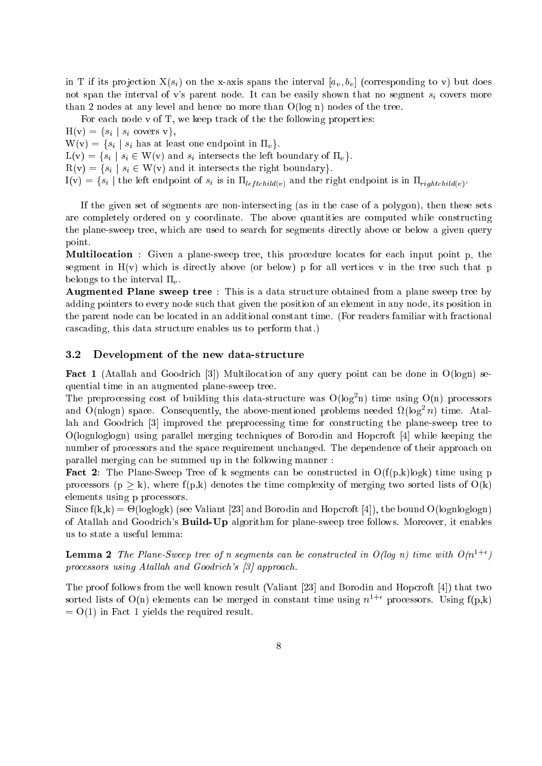in T if its projection  $X(s_i)$  on the x-axis spans the interval  $[a_v, b_v]$  (corresponding to v) but does not span the interval of v's parent node. It can be easily shown that no segment  $s_i$  covers more than 2 nodes at any level and hen
e no more than O(log n) nodes of the tree.

For each node v of T, we keep track of the the following properties:

 $H(v) = \{s_i \mid s_i \text{ covers } v\},\$  $W(v) = \{s_i \mid s_i \text{ has at least one endpoint in } \Pi_v\}.$  $L(v) = \{s_i \mid s_i \in W(v) \text{ and } s_i \text{ intersects the left boundary of } \Pi_v\}.$  $R(v) = \{s_i \mid s_i \in W(v) \text{ and it intersects the right boundary}\}.$  $I(v) = \{s_i |$  the left endpoint of  $s_i$  is in  $\Pi_{left(v)}$  and the right endpoint is in  $\Pi_{rightful(v)}$ .

If the given set of segments are non-intersecting (as in the case of a polygon), then these sets are completely ordered on y coordinate. The above quantities are computed while constructing the plane-sweep tree, which are used to search for segments directly above or below a given query point.

Multilocation : Given a plane-sweep tree, this procedure locates for each input point p, the segment in  $H(v)$  which is directly above (or below) p for all vertices v in the tree such that p belongs to the interval  $\Pi_v$ .

Augmented Plane sweep tree : This is a data stru
ture obtained from a plane sweep tree by adding pointers to every node such that given the position of an element in any node, its position in the parent node can be located in an additional constant time. (For readers familiar with fractional as
ading, this data stru
ture enables us to perform that.)

#### $3.2$ Development of the new data-structure

Fact 1 (Atallah and Goodrich [3]) Multilocation of any query point can be done in O(logn) sequential time in an augmented plane-sweep tree.

The prepro
essing ost of building this data-stru
ture was O(log<sup>2</sup> n) time using O(n) pro
essors and O(niogn) space. Consequently, the above-mentioned problems needed  $\Omega(\log^2 n)$  time. Atallah and Goodrich [3] improved the preprocessing time for constructing the plane-sweep tree to O(lognloglogn) using parallel merging techniques of Borodin and Hopcroft [4] while keeping the number of processors and the space requirement unchanged. The dependence of their approach on parallel merging an be summed up in the following manner :

Fact 2: The Plane-Sweep Tree of k segments can be constructed in  $O(f(p,k))$  time using p processors ( $p \ge k$ ), where  $f(p,k)$  denotes the time complexity of merging two sorted lists of  $O(k)$ elements using p pro
essors.

Sin
e f(k,k) = -(loglogk) (see Valiant [23℄ and Borodin and Hop
roft [4℄), the bound O(lognloglogn) of Atallah and Goodrich's Build-Up algorithm for plane-sweep tree follows. Moreover, it enables us to state a useful lemma:

**Lemma 4** The Plane-Sweep tree of n seqments can be constructed in O(log n) time with  $O(n^{1+\epsilon})$ processors using Atallah and Goodrich's [3] approach.

The proof follows from the well known result (Valiant [23] and Borodin and Hopcroft [4]) that two sorted lists of  $O(n)$  elements can be merged in constant time using  $n^{++}$  processors. Using  $I(D,K)$  $= O(1)$  in Fact 1 yields the required result.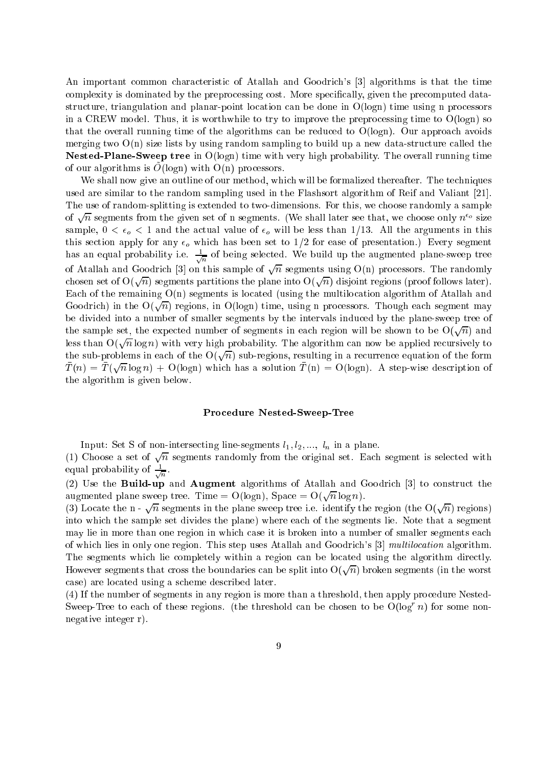An important common characteristic of Atallah and Goodrich's [3] algorithms is that the time complexity is dominated by the preprocessing cost. More specifically, given the precomputed datastructure, triangulation and planar-point location can be done in  $O(logn)$  time using n processors in a CREW model. Thus, it is worthwhile to try to improve the preprocessing time to  $O(logn)$  so that the overall running time of the algorithms can be reduced to  $O(logn)$ . Our approach avoids merging two  $O(n)$  size lists by using random sampling to build up a new data-structure called the Nested-Plane-Sweep tree in O(logn) time with very high probability. The overall running time of our algorithms is O~ (logn) with O(n) pro
essors.

We shall now give an outline of our method, which will be formalized thereafter. The techniques used are similar to the random sampling used in the Flashsort algorithm of Reif and Valiant [21]. The use of random-splitting is extended to two-dimensions. For this, we hoose randomly a sample of  $\sqrt{n}$  segments from the given set of n segments. (We shall later see that, we choose only  $n^{\epsilon_0}$  size sample,  $0 < \epsilon_o < 1$  and the actual value of  $\epsilon_o$  will be less than 1/13. All the arguments in this this section apply for any  $\epsilon_o$  which has been set to 1/2 for ease of presentation.) Every segment nas an equal propability i.e.  $\rightarrow$  $n \quad \text{or} \quad \text{or} \quad \text{or} \quad \text{or} \quad \text{or} \quad \text{or} \quad \text{or} \quad \text{or} \quad \text{or} \quad \text{or} \quad \text{or} \quad \text{or} \quad \text{or} \quad \text{or} \quad \text{or} \quad \text{or} \quad \text{or} \quad \text{or} \quad \text{or} \quad \text{or} \quad \text{or} \quad \text{or} \quad \text{or} \quad \text{or} \quad \text{or} \quad \text{or} \quad \text{or} \quad \text{or} \quad \text{or} \quad \text{or} \quad \text{or} \quad$ of Atallah and Goodrich [3] on this sample of  $\sqrt{n}$  segments using O(n) processors. The randomly chosen set of  $O(\sqrt{n})$  segments partitions the plane into  $O(\sqrt{n})$  disjoint regions (proof follows later). Each of the remaining O(n) segments is located (using the multilocation algorithm of Atallah and Goodrich) in the  $O(\sqrt{n})$  regions, in  $O(\log n)$  time, using n processors. Though each segment may be divided into a number of smaller segments by the intervals indu
ed by the plane-sweep tree of the sample set, the expected number of segments in each region will be shown to be  $O(\sqrt{n})$  and less than  $O(\sqrt{n}\log n)$  with very high probability. The algorithm can now be applied recursively to the sub-problems in each of the  $O(\sqrt{n})$  sub-regions, resulting in a recurrence equation of the form  $1 \, (10) = 1$  $\sqrt{n}\log n$  + O(logn) which has a solution  $T(n) = O(log n)$ . A step-wise description of the algorithm is given below.

#### Pro
edure Nested-Sweep-Tree

Input: Set S of non-intersecting line-segments  $l_1, l_2, ..., l_n$  in a plane.

(1) Choose a set of  $\sqrt{n}$  segments randomly from the original set. Each segment is selected with equal probability of  $\rightleftharpoons$ .

 $(2)$  Use the **Build-up** and **Augment** algorithms of Atallah and Goodrich  $[3]$  to construct the augmented plane sweep tree. Time =  $O(logn)$ , Space =  $O(\sqrt{n} \log n)$ .

(3) Locate the n -  $\sqrt{n}$  segments in the plane sweep tree i.e. identify the region (the  $O(\sqrt{n})$  regions) into whi
h the sample set divides the plane) where ea
h of the segments lie. Note that a segment may lie in more than one region in which case it is broken into a number of smaller segments each of which lies in only one region. This step uses Atallah and Goodrich's [3] multilocation algorithm. The segments which lie completely within a region can be located using the algorithm directly. However segments that cross the boundaries can be split into  $O(\sqrt{n})$  broken segments (in the worst ase) are lo
ated using a s
heme des
ribed later.

(4) If the number of segments in any region is more than a threshold, then apply pro
edure Nested-Sweep-Iree to each of these regions. (the threshold can be chosen to be  $O( \log^2 n)$  for some nonnegative integer r).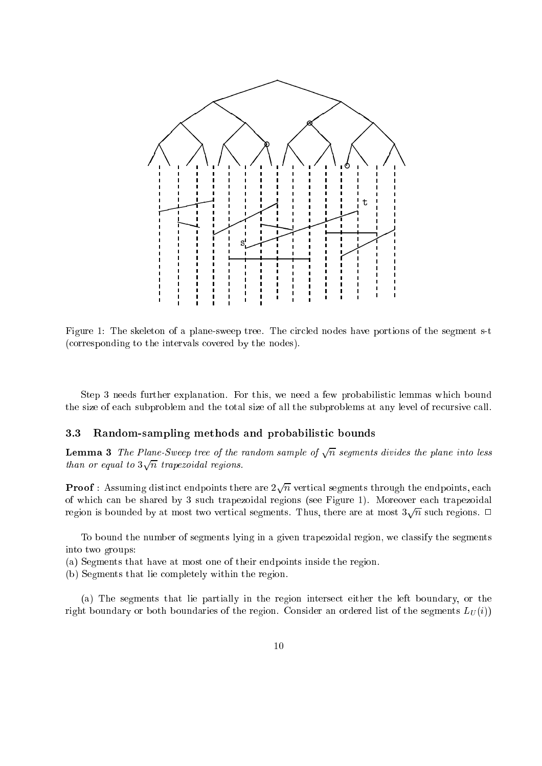

Figure 1: The skeleton of a plane-sweep tree. The circled nodes have portions of the segment s-t (
orresponding to the intervals overed by the nodes).

Step 3 needs further explanation. For this, we need a few probabilistic lemmas which bound the size of each subproblem and the total size of all the subproblems at any level of recursive call.

#### 3.3 Random-sampling methods and probabilisti bounds

**Lemma 3** The Plane-Sweep tree of the random sample of  $\sqrt{n}$  segments divides the plane into less that or experience the  $\sim$  $\sqrt{n}$  trapezoidal regions.

**Proof**: Assuming distinct endpoints there are  $2\sqrt{n}$  vertical segments through the endpoints, each of whi
h an be shared by 3 su
h trapezoidal regions (see Figure 1). Moreover ea
h trapezoidal region is bounded by at most two vertical segments. Thus, there are at most  $3\sqrt{n}$  such regions.  $\Box$ 

To bound the number of segments lying in a given trapezoidal region, we lassify the segments into two groups:

(a) Segments that have at most one of their endpoints inside the region.

(b) Segments that lie ompletely within the region.

(a) The segments that lie partially in the region interse
t either the left boundary, or the right boundary or both boundaries of the region. Consider an ordered list of the segments  $L_U(i)$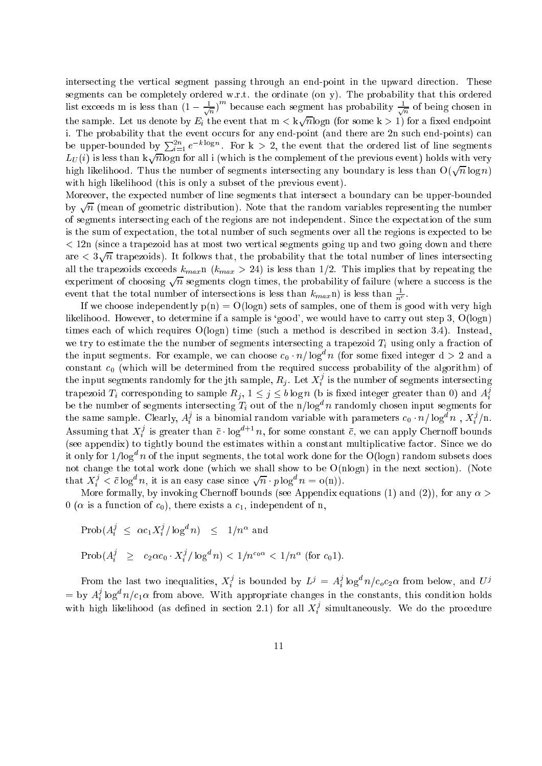intersecting the vertical segment passing through an end-point in the upward direction. These segments can be completely ordered w.r.t. the ordinate (on y). The probability that this ordered nst exceeds in is less than  $11 = -5$  $\frac{1}{n}$ ) because each segment has probability  $\frac{1}{\sqrt{n}}$  $n \quad \circ$ the sample. Let us denote by  $E_i$  the event that  $m < k\sqrt{n}\log n$  (for some  $k > 1$ ) for a fixed endpoint i. The probability that the event occurs for any end-point (and there are 2n such end-points) can be upper-bounded by  $\sum_{i=1}^{2n} e^{-k \log n}$ . For  $k > 2$ , the event that the ordered list of line segments  $L_U(i)$  is less than k $\sqrt{n}$ logn for all i (which is the complement of the previous event) holds with very high likelihood. Thus the number of segments intersecting any boundary is less than  $O(\sqrt{n}\log n)$ with high likelihood (this is only a subset of the previous event).

Moreover, the expected number of line segments that intersect a boundary can be upper-bounded by  $\sqrt{n}$  (mean of geometric distribution). Note that the random variables representing the number of segments interse
ting ea
h of the regions are not independent. Sin
e the expe
tation of the sum is the sum of expe
tation, the total number of su
h segments over all the regions is expe
ted to be  $\leq 12n$  (since a trapezoid has at most two vertical segments going up and two going down and there are  $\langle 3\sqrt{n}$  trapezoids). It follows that, the probability that the total number of lines intersecting all the trapezoids exceeds  $k_{max}$  ( $k_{max} > 24$ ) is less than 1/2. This implies that by repeating the experiment of choosing  $\sqrt{n}$  segments clogn times, the probability of failure (where a success is the event that the total number of intersections is less than  $\kappa_{max}$ n) is less than  $\frac{1}{nc}$ .

If we choose independently  $p(n) = O(logn)$  sets of samples, one of them is good with very high likelihood. However, to determine if a sample is 'good', we would have to carry out step 3,  $O(logn)$ times each of which requires  $O(logn)$  time (such a method is described in section 3.4). Instead, we try to estimate the the number of segments intersecting a trapezoid  $T_i$  using only a fraction of the input segments. For example, we can choose  $c_0 \cdot n / \log^\sim n$  (for some fixed integer  $a > z$  and a onstant of (which will be determined to the required from the algorithm probability of the algorithm) of the input segments randomly for the jth sample,  $R_j.$  Let  $X_i^s$  is the number of segments intersecting trapezoid  $T_i$  corresponding to sample  $R_i$ ,  $1 \leq j \leq b \log n$  (b is fixed integer greater than 0) and  $A_i^j$ be the number of segments intersecting  $T_i$  out of the n/log<sup>d</sup> n randomly chosen input segments for the same sample. Clearly,  $A_i^s$  is a binomial random variable with parameters  $c_0 \cdot n / \log^\infty n$  ,  $X_i^s/n$ . Assuming that  $X_i^j$  is greater than  $\bar{c} \cdot \log^{d+1} n$ , for some constant  $\bar{c}$ , we can apply Chernoff bounds (see appendix) to tightly bound the estimates within a onstant multipli
ative fa
tor. Sin
e we do it only for  $1/ \log$   $n$  of the input segments, the total work done for the O(logn) random subsets does not change the total work done (which we shall show to be O(nlogn) in the next section). (Note that  $X_i^j < \bar{c} \log^a n$ , it is an easy case since  $\sqrt{n} \cdot p \log^a n = o(n)$ .

More formally, by invoking Chernoff bounds (see Appendix equations (1) and (2)), for any  $\alpha$  $0$  ( $\alpha$  is a function of  $c_0$ ), there exists a  $c_1$ , independent of n,

$$
\begin{array}{rcl}\n\text{Prob}(A_i^j \leq \alpha c_1 X_i^j / \log^d n) & \leq 1/n^{\alpha} \text{ and} \\
\text{Prob}(A_i^j \geq c_2 \alpha c_0 \cdot X_i^j / \log^d n) < 1/n^{c_0 \alpha} < 1/n^{\alpha} \text{ (for } c_0 1).\n\end{array}
$$

From the last two inequalities,  $X_i^j$  is bounded by  $L^j = A_i^j \log^{\alpha} n / c_o c_2 \alpha$  from below, and  $U^j$  $=$  by  $A_i^{\alpha} \log^{\alpha} n/c_1 \alpha$  from above. With appropriate changes in the constants, this condition holds with high likelihood (as defined in section 2.1) for all  $X_i^s$  simultaneously. We do the procedure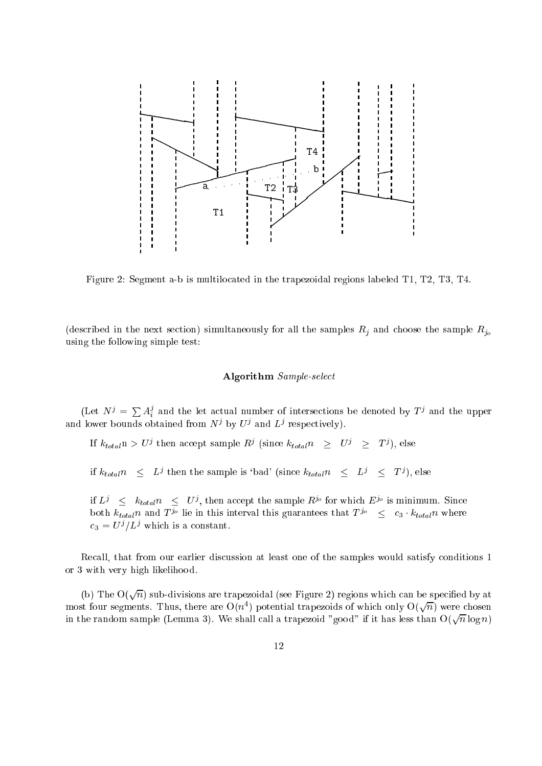

Figure 2: Segment a-b is multilo
ated in the trapezoidal regions labeled T1, T2, T3, T4.

(described in the next section) simultaneously for all the samples  $R_j$  and choose the sample  $R_{j_o}$ using the following simple test:

#### Algorithm Sample-sele
t

(Let  $N^j = \sum A_i^j$  and the let actual number of intersections be denoted by  $T^j$  and the upper and lower bounds obtained from  $N'$  by  $U'$  and  $L'$  respectively).

If  $\kappa_{total}$  in  $>$  0<sup>3</sup> under accept sample  $\kappa^j$  (since  $\kappa_{total}$  in  $\epsilon$   $\geq$  0<sup>3</sup>  $\geq$  1<sup>3</sup>), else

if  $k_{total}n \leq L^j$  then the sample is 'bad' (since  $k_{total}n \leq L^j \leq T^j$  $\leq$   $T^j$ , else

If  $L^j \leq k_{total}n \leq U^j$ , then accept the sample  $R^{j\sigma}$  for which  $E^{j\sigma}$  is minimum. Since both  $\kappa_{total}$  and  $T$  is the in this interval this guarantees that  $T^{\circ} \leq c_3 \cdot \kappa_{total}$  where  $c_3 = U'/L'$  which is a constant.

Recall, that from our earlier discussion at least one of the samples would satisfy conditions 1 or 3 with very high likelihood.

(b) The  $O(\sqrt{n})$  sub-divisions are trapezoidal (see Figure 2) regions which can be specified by at most four segments. Thus, there are  $O(n^4)$  potential trapezoids of which only  $O(\sqrt{n})$  were chosen in the random sample (Lemma 3). We shall call a trapezoid "good" if it has less than  $O(\sqrt{n}\log n)$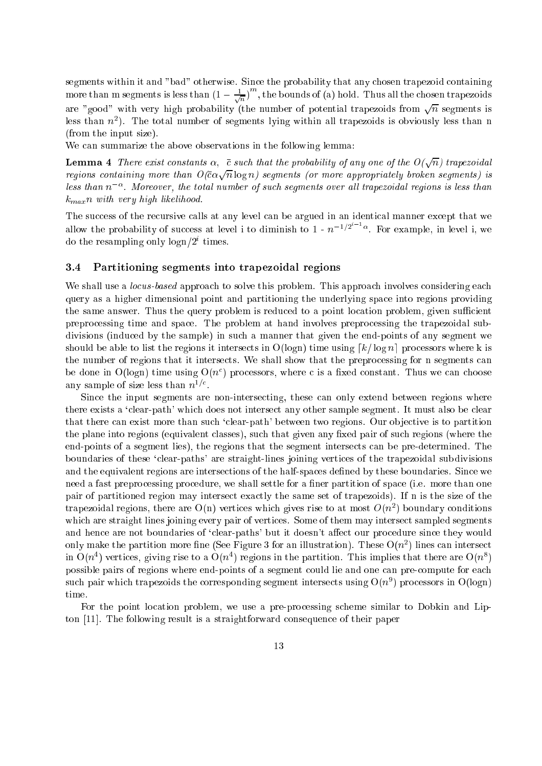segments within it and "bad" otherwise. Since the probability that any chosen trapezoid containing more than in segments is less than (1  $\rightarrow$  $\frac{1}{n}$ ) , the bounds of (a) hold. Thus all the chosen trapezoids are "good" with very high probability (the number of potential trapezoids from  $\sqrt{n}$  segments is less than  $n^-$ ). The total number of segments lying within all trapezoids is obviously less than n (from the input size).

We can summarize the above observations in the following lemma:

**Lemma 4** There exist constants  $\alpha$ ,  $\bar{c}$  such that the probability of any one of the  $O(\sqrt{n})$  trapezoidal regions containing more than  $O(\bar{c} \alpha \sqrt{n} \log n)$  segments (or more appropriately broken segments) is less than n ° . Moreover, the total number of such segments over all trapezoidal regions is less than  $k_{max}$ n with very high likelihood.

The success of the recursive calls at any level can be argued in an identical manner except that we allow the probability of success at level i to diminish to  $1 - n^{-1/2}$   $\alpha$ . For example, in level i, we do the resampling only logn/2<sup>i</sup> times.

### 3.4 Partitioning segments into trapezoidal regions

We shall use a *locus-based* approach to solve this problem. This approach involves considering each query as a higher dimensional point and partitioning the underlying spa
e into regions providing the same answer. Thus the query problem is reduced to a point location problem, given sufficient prepro
essing time and spa
e. The problem at hand involves prepro
essing the trapezoidal subdivisions (indu
ed by the sample) in su
h a manner that given the end-points of any segment we should be able to list the regions it intersects in  $O(logn)$  time using  $\lceil k / \log n \rceil$  processors where k is the number of regions that it intersects. We shall show that the preprocessing for n segments can be done in  $O(10g)$  time using  $O(n)$  processors, where c is a fixed constant. Thus we can choose any sample of size less than  $n_{\text{1}}$  .

Since the input segments are non-intersecting, these can only extend between regions where there exists a 'clear-path' which does not intersect any other sample segment. It must also be clear that there can exist more than such 'clear-path' between two regions. Our objective is to partition the plane into regions (equivalent classes), such that given any fixed pair of such regions (where the end-points of a segment lies), the regions that the segment intersects can be pre-determined. The boundaries of these `
lear-paths' are straight-lines joining verti
es of the trapezoidal subdivisions and the equivalent regions are intersections of the half-spaces defined by these boundaries. Since we need a fast preprocessing procedure, we shall settle for a finer partition of space (i.e. more than one pair of partitioned region may interse
t exa
tly the same set of trapezoids). If n is the size of the trapezoidal regions, there are  $O(n)$  vertices which gives rise to at most  $O(n^2)$  boundary conditions which are straight lines joining every pair of vertices. Some of them may intersect sampled segments and hence are not boundaries of 'clear-paths' but it doesn't affect our procedure since they would only make the partition more line (see Figure 3 for an illustration). These  $O(n^2)$  lines can intersect in  $O(n)$  ) vertices, giving rise to a  $O(n)$  regions in the partition. This implies that there are  $O(n)$ possible pairs of regions where end-points of a segment could lie and one can pre-compute for each  $\sup$  pair which trapezoids the corresponding segment intersects using  $O(n^*)$  processors in  $O(\log n)$ time.

For the point location problem, we use a pre-processing scheme similar to Dobkin and Lipton  $[11]$ . The following result is a straightforward consequence of their paper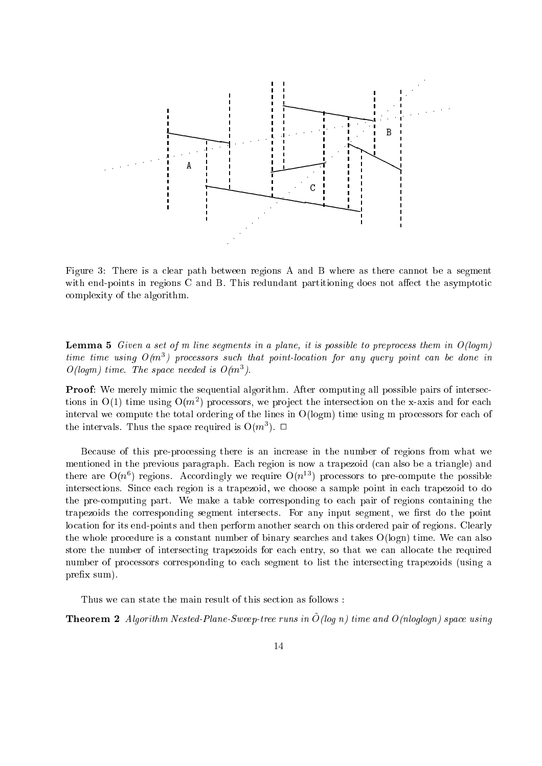

Figure 3: There is a clear path between regions A and B where as there cannot be a segment with end-points in regions  $C$  and  $B$ . This redundant partitioning does not affect the asymptotic omplexity of the algorithm.

**Lemma 5** Given a set of m line segments in a plane, it is possible to preprocess them in  $O(logm)$ time time using  $O(n\tau)$  processors such that point-tocation for any query point can be aone in  $O(10qm)$  time. The space needed is  $O(m<sub>3</sub>)$ .

**Proof:** We merely mimic the sequential algorithm. After computing all possible pairs of intersec $t$  tions in  $O(1)$  time using  $O(m^2)$  processors, we project the intersection on the x-axis and for each interval we compute the total ordering of the lines in  $O(logm)$  time using m processors for each of the intervals. Thus the space required is  $O(m^2)$ .  $\Box$ 

Be
ause of this pre-pro
essing there is an in
rease in the number of regions from what we mentioned in the previous paragraph. Ea
h region is now a trapezoid (
an also be a triangle) and there are O( $n<sup>3</sup>$ ) regions. Accordingly we require O( $n<sup>3</sup>$ ) processors to pre-compute the possible interse
tions. Sin
e ea
h region is a trapezoid, we hoose a sample point in ea
h trapezoid to do the pre-computing part. We make a table corresponding to each pair of regions containing the trapezoids the corresponding segment intersects. For any input segment, we first do the point location for its end-points and then perform another search on this ordered pair of regions. Clearly the whole pro
edure is a onstant number of binary sear
hes and takes O(logn) time. We an also store the number of intersecting trapezoids for each entry, so that we can allocate the required number of processors corresponding to each segment to list the intersecting trapezoids (using a prex sum).

Thus we can state the main result of this section as follows :

**THEOLEM 2** Algorithm Nested-Flane-Sweep-tree runs in O\tog n) time and O\nloglogn) space using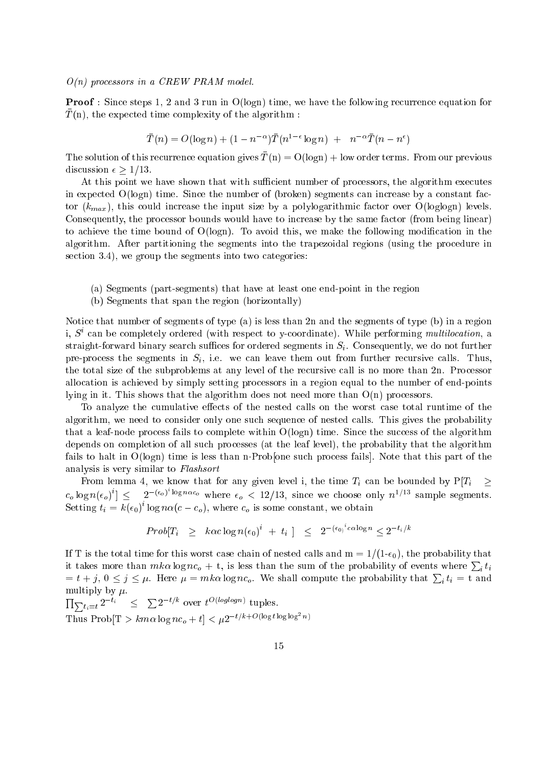#### $O(n)$  processors in a CREW PRAM model.

**Proof**: Since steps 1, 2 and 3 run in O(logn) time, we have the following recurrence equation for  $I$  (ii), the expected time complexity of the algorithm  $\cdot$ 

$$
\overline{T}(n) = O(\log n) + (1 - n^{-\alpha})\overline{T}(n^{1-\epsilon}\log n) + n^{-\alpha}\overline{T}(n - n^{\epsilon})
$$

The solution of this recurrence equation gives  $T(H) = O(\log n) + 1$ ow order terms. From our previous discussion  $\epsilon > 1/13$ .

At this point we have shown that with sufficient number of processors, the algorithm executes in expected  $O(logn)$  time. Since the number of (broken) segments can increase by a constant factor  $(k_{max})$ , this could increase the input size by a polylogarithmic factor over O(loglogn) levels. Consequently, the processor bounds would have to increase by the same factor (from being linear) to achieve the time bound of  $O(logn)$ . To avoid this, we make the following modification in the algorithm. After partitioning the segments into the trapezoidal regions (using the pro
edure in section 3.4), we group the segments into two categories:

- (a) Segments (part-segments) that have at least one end-point in the region
- (b) Segments that span the region (horizontally)

Notice that number of segments of type (a) is less than 2n and the segments of type (b) in a region i,  $\beta$  can be completely ordered (with respect to y-coordinate). While performing multilocalion, a straight-forward binary search suffices for ordered segments in  $S_i$ . Consequently, we do not further pre-process the segments in  $S_i$ , i.e. we can leave them out from further recursive calls. Thus, the total size of the subproblems at any level of the recursive call is no more than 2n. Processor allo
ation is a
hieved by simply setting pro
essors in a region equal to the number of end-points lying in it. This shows that the algorithm does not need more than  $O(n)$  processors.

To analyze the cumulative effects of the nested calls on the worst case total runtime of the algorithm, we need to consider only one such sequence of nested calls. This gives the probability that a leaf-node process fails to complete within  $O(logn)$  time. Since the success of the algorithm depends on completion of all such processes (at the leaf level), the probability that the algorithm fails to halt in  $O(logn)$  time is less than n-Problone such process fails. Note that this part of the analysis is very similar to Flashsort

From lemma 4, we know that for any given level i, the time  $T_i$  can be bounded by  $P[T_i \geq$  $c_o \log n(\epsilon_o)^i \leq 2^{-(\epsilon_o)^2 \log n\alpha c_o}$  where  $\epsilon_o < 12/13$ , since we choose only  $n^{1/13}$  sample segments. Setting  $t_i = \kappa(\epsilon_0)$  log  $n\alpha(c - c_o)$ , where  $c_o$  is some constant, we obtain

$$
Prob[T_i \geq k\alpha c \log n(\epsilon_0)^i + t_i] \leq 2^{-(\epsilon_0)^i c \alpha \log n} \leq 2^{-t_i/k}
$$

If  $\mathbf{v} = \mathbf{v}$  is the probability that worst  $\mathbf{v} = \mathbf{v}$ it takes more than  $mk\alpha \log nc_o + t$ , is less than the sum of the probability of events where  $\sum_i t_i$  $t = t + j$ ,  $0 \le j \le \mu$ . Here  $\mu = mk\alpha \log nc_o$ . We shall compute the probability that  $\sum_i t_i = t$  and multiply by  $\mu$ .

 $\Pi_{\sum t_i=t} 2^{-t_i} \leq \sum 2^{-t/k}$  over  $t^{O(loglog n)}$  tuples. Thus Prob $|T>km\alpha\log nc_o+t|<\mu 2^{-t/\kappa+O(\log t\log\log^2 n)}$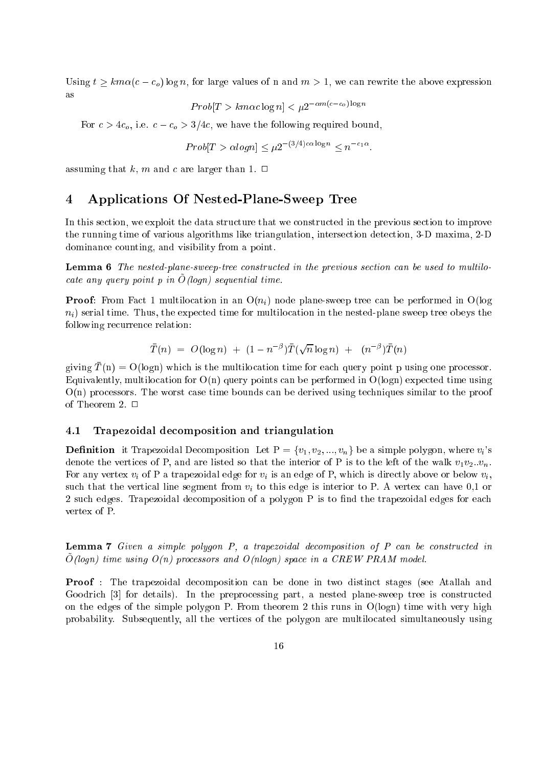Using  $t > km\alpha(c - c_0) \log n$ , for large values of n and  $m > 1$ , we can rewrite the above expression as

$$
Prob[T > kmac \log n] < \mu 2^{-\alpha m(c - c_o) \log n}
$$

For  $c > 4c_0$ , i.e.  $c - c_0 > 3/4c$ , we have the following required bound,

$$
Prob[T > \alpha logn] \le \mu 2^{-(3/4)c\alpha \log n} \le n^{-c_1 \alpha}
$$

assuming that k, m and c are larger than 1.  $\Box$ 

#### 4 Appli
ations Of Nested-Plane-Sweep Tree  $\overline{\mathbf{4}}$

In this section, we exploit the data structure that we constructed in the previous section to improve the running time of various algorithms like triangulation, interse
tion dete
tion, 3-D maxima, 2-D dominance counting, and visibility from a point.

Lemma 6 The nested-plane-sweep-tree constructed in the previous section can be used to multilo- $\alpha$  and  $\alpha$  and  $\beta$  is the  $\alpha$  in  $\alpha$  and  $\alpha$  is  $\alpha$  is  $\alpha$  is  $\alpha$  is  $\alpha$  is  $\alpha$  is  $\alpha$  is  $\alpha$  is  $\alpha$  is  $\alpha$  is  $\alpha$  is  $\alpha$  is  $\alpha$  is  $\alpha$  is  $\alpha$  is  $\alpha$  is  $\alpha$  is  $\alpha$  is  $\alpha$  is  $\alpha$  is  $\alpha$  is  $\alpha$  i

**Proof:** From Fact 1 multilocation in an  $O(n_i)$  node plane-sweep tree can be performed in  $O(\log n_i)$  $n_i$ ) serial time. Thus, the expected time for multilocation in the nested-plane sweep tree obeys the following recurrence relation:

$$
\bar{T}(n) = O(\log n) + (1 - n^{-\beta})\bar{T}(\sqrt{n}\log n) + (n^{-\beta})\bar{T}(n)
$$

giving  $I$  (ii)  $=$  O(logii) which is the multilocation time for each query point  $p$  using one processor. Equivalently, multilocation for  $O(n)$  query points can be performed in  $O(logn)$  expected time using  $O(n)$  processors. The worst case time bounds can be derived using techniques similar to the proof of Theorem 2.  $\Box$ 

#### 4.1 Trapezoidal de
omposition and triangulation

**Definition** it Trapezoidal Decomposition Let  $P = \{v_1, v_2, ..., v_n\}$  be a simple polygon, where  $v_i$ 's denote the vertices of P, and are listed so that the interior of P is to the left of the walk  $v_1v_2...v_n$ . For any vertex  $v_i$  of P a trapezoidal edge for  $v_i$  is an edge of P, which is directly above or below  $v_i$ . such that the vertical line segment from  $v_i$  to this edge is interior to P. A vertex can have 0.1 or 2 such edges. Trapezoidal decomposition of a polygon P is to find the trapezoidal edges for each vertex of P.

Lemma 7 Given a simple polygon P, a trapezoidal decomposition of P can be constructed in  $O(n$ yn) time using  $O(n)$  processors and  $O(nnqn)$  space in a  $O(nE)$  in  $n$  and model.

**Proof**: The trapezoidal decomposition can be done in two distinct stages (see Atallah and Goodrich [3] for details). In the preprocessing part, a nested plane-sweep tree is constructed on the edges of the simple polygon P. From theorem 2 this runs in O(logn) time with very high probability. Subsequently, all the verti
es of the polygon are multilo
ated simultaneously using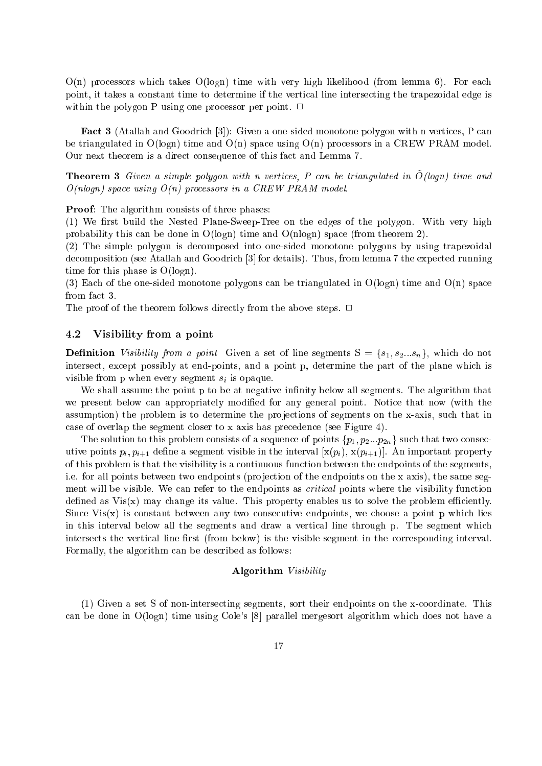$O(n)$  processors which takes  $O(logn)$  time with very high likelihood (from lemma 6). For each point, it takes a onstant time to determine if the verti
al line interse
ting the trapezoidal edge is within the polygon P using one processor per point.  $\Box$ 

Fact 3 (Atallah and Goodrich [3]): Given a one-sided monotone polygon with n vertices, P can be triangulated in  $O(logn)$  time and  $O(n)$  space using  $O(n)$  processors in a CREW PRAM model. Our next theorem is a direct consequence of this fact and Lemma 7.

**Theorem 3** Given a simple polygon with n vertices, I can be triangulated in O\logn) time and  $O(n \log n)$  space using  $O(n)$  processors in a CREW PRAM model.

Proof: The algorithm consists of three phases:

(1) We first build the Nested Plane-Sweep-Tree on the edges of the polygon. With very high probability this can be done in  $O(logn)$  time and  $O(nlogn)$  space (from theorem 2).

(2) The simple polygon is de
omposed into one-sided monotone polygons by using trapezoidal decomposition (see Atallah and Goodrich [3] for details). Thus, from lemma 7 the expected running time for this phase is O(logn).

 $(3)$  Each of the one-sided monotone polygons can be triangulated in  $O(logn)$  time and  $O(n)$  space from fact 3.

The proof of the theorem follows directly from the above steps.  $\Box$ 

#### 4.2 Visibility from a point

**Definition** Visibility from a point Given a set of line segments  $S = \{s_1, s_2...s_n\}$ , which do not intersect, except possibly at end-points, and a point p, determine the part of the plane which is visible from p when every segment  $s_i$  is opaque.

We shall assume the point p to be at negative infinity below all segments. The algorithm that we present below can appropriately modified for any general point. Notice that now (with the assumption) the problem is to determine the projections of segments on the x-axis, such that in ase of overlap the segment loser to x axis has pre
eden
e (see Figure 4).

The solution to this problem consists of a sequence of points  $\{p_1, p_2...p_{2n}\}$  such that two consecutive points  $p_i, p_{i+1}$  define a segment visible in the interval  $[x(p_i), x(p_{i+1})]$ . An important property of this problem is that the visibility is a ontinuous fun
tion between the endpoints of the segments, i.e. for all points between two endpoints (projection of the endpoints on the x axis), the same segment will be visible. We can refer to the endpoints as *critical* points where the visibility function defined as  $Vis(x)$  may change its value. This property enables us to solve the problem efficiently. Since  $Vis(x)$  is constant between any two consecutive endpoints, we choose a point p which lies in this interval below all the segments and draw a vertical line through p. The segment which intersects the vertical line first (from below) is the visible segment in the corresponding interval. Formally, the algorithm can be described as follows:

#### Algorithm Visibility

(1) Given a set S of non-interse
ting segments, sort their endpoints on the xoordinate. This can be done in  $O(logn)$  time using Cole's [8] parallel mergesort algorithm which does not have a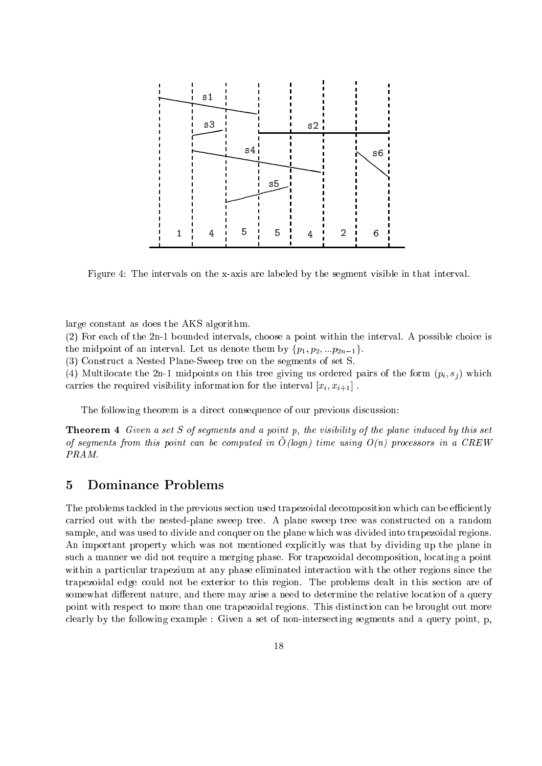

Figure 4: The intervals on the x-axis are labeled by the segment visible in that interval.

large onstant as does the AKS algorithm.

(2) For each of the 2n-1 bounded intervals, choose a point within the interval. A possible choice is the midpoint of an interval. Let us denote them by  $\{p_1, p_2, \ldots p_{2n-1}\}.$ 

(3) Constru
t a Nested Plane-Sweep tree on the segments of set S.

(4) Multilocate the 2n-1 midpoints on this tree giving us ordered pairs of the form  $(p_i, s_j)$  which carries the required visibility information for the interval  $[x_i, x_{i+1}]$ .

The following theorem is a dire
t onsequen
e of our previous dis
ussion:

**Theorem 4** Given a set S of segments and a point p, the visibility of the plane induced by this set  $\sigma_l$  sequicins from this point can be compated in  $O_{\{l}$ oqn) time asing  $O(n)$  processors in a  $O(\epsilon)$  if PRAM.

# 5 Dominan
e Problems

The problems tackled in the previous section used trapezoidal decomposition which can be efficiently arried out with the nested-plane sweep tree. A plane sweep tree was onstru
ted on a random sample, and was used to divide and onquer on the plane whi
h was divided into trapezoidal regions. An important property which was not mentioned explicitly was that by dividing up the plane in such a manner we did not require a merging phase. For trapezoidal decomposition, locating a point within a particular trapezium at any phase eliminated interaction with the other regions since the trapezoidal edge ould not be exterior to this region. The problems dealt in this se
tion are of somewhat different nature, and there may arise a need to determine the relative location of a query point with respe
t to more than one trapezoidal regions. This distin
tion an be brought out more learly by the following example : Given a set of non-interse
ting segments and a query point, p,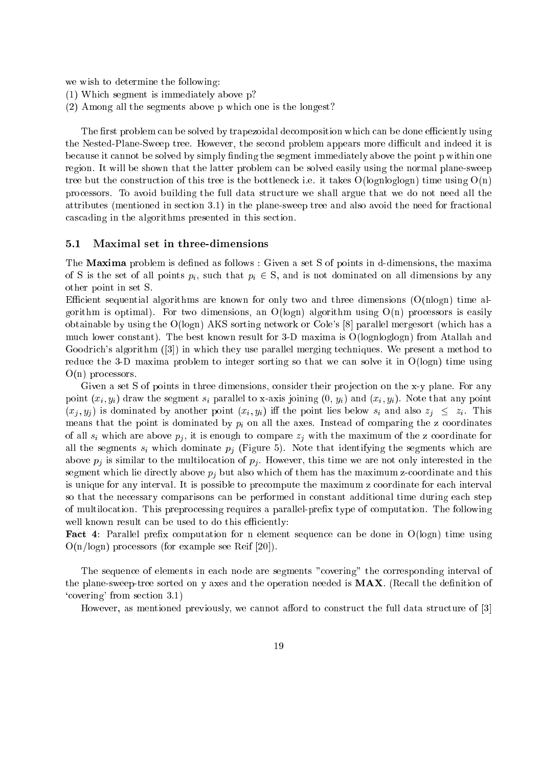we wish to determine the following:

- (1) Whi
h segment is immediately above p?
- (2) Among all the segments above p whi
h one is the longest?

The first problem can be solved by trapezoidal decomposition which can be done efficiently using the Nested-Plane-Sweep tree. However, the second problem appears more difficult and indeed it is because it cannot be solved by simply finding the segment immediately above the point p within one region. It will be shown that the latter problem can be solved easily using the normal plane-sweep tree but the construction of this tree is the bottleneck i.e. it takes  $O(lognloglogn)$  time using  $O(n)$ pro
essors. To avoid building the full data stru
ture we shall argue that we do not need all the attributes (mentioned in se
tion 3.1) in the plane-sweep tree and also avoid the need for fra
tional as
ading in the algorithms presented in this se
tion.

#### 5.1 Maximal set in three-dimensions

The Maxima problem is defined as follows : Given a set S of points in d-dimensions, the maxima of S is the set of all points  $p_i$ , such that  $p_i \in S$ , and is not dominated on all dimensions by any other point in set S.

Efficient sequential algorithms are known for only two and three dimensions  $(O(\text{mlog} n)$  time algorithm is optimal). For two dimensions, an  $O(logn)$  algorithm using  $O(n)$  processors is easily obtainable by using the  $O(logn)$  AKS sorting network or Cole's [8] parallel mergesort (which has a mu
h lower onstant). The best known result for 3-D maxima is O(lognloglogn) from Atallah and Goodrich's algorithm  $([3])$  in which they use parallel merging techniques. We present a method to reduce the 3-D maxima problem to integer sorting so that we can solve it in O(logn) time using  $O(n)$  processors.

Given a set S of points in three dimensions, consider their projection on the x-y plane. For any point  $(x_i, y_i)$  draw the segment  $s_i$  parallel to x-axis joining  $(0, y_i)$  and  $(x_i, y_i)$ . Note that any point  $(x_i, y_j)$  is dominated by another point  $(x_i, y_i)$  iff the point lies below  $s_i$  and also  $z_j \leq z_i$ . This means that the point is dominated by  $p_i$  on all the axes. Instead of comparing the z coordinates of all  $s_i$  which are above  $p_i$ , it is enough to compare  $z_i$  with the maximum of the z coordinate for all the segments  $s_i$  which dominate  $p_j$  (Figure 5). Note that identifying the segments which are above  $p_i$  is similar to the multilocation of  $p_i$ . However, this time we are not only interested in the segment which lie directly above  $p_i$  but also which of them has the maximum z-coordinate and this is unique for any interval. It is possible to precompute the maximum z coordinate for each interval so that the necessary comparisons can be performed in constant additional time during each step of multilo
ation. This prepro
essing requires a parallel-prex type of omputation. The following well known result can be used to do this efficiently:

Fact 4: Parallel prefix computation for n element sequence can be done in  $O(logn)$  time using  $O(n/\log n)$  processors (for example see Reif [20]).

The sequence of elements in each node are segments "covering" the corresponding interval of the plane-sweep-tree sorted on y axes and the operation needed is  $MAX$ . (Recall the definition of 'covering' from section 3.1)

However, as mentioned previously, we cannot afford to construct the full data structure of [3]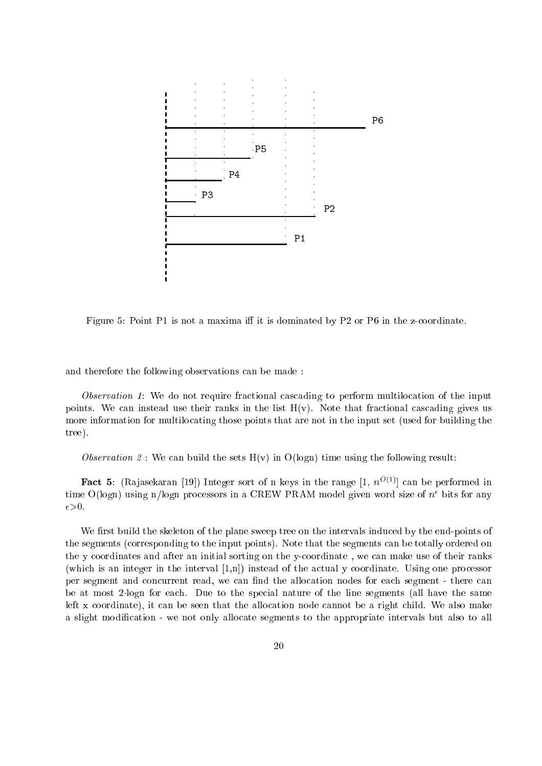

Figure 5: Point P1 is not a maxima iff it is dominated by P2 or P6 in the z-coordinate.

and therefore the following observations an be made :

Observation 1: We do not require fractional cascading to perform multilocation of the input points. We can instead use their ranks in the list  $H(v)$ . Note that fractional cascading gives us more information for multilo
ating those points that are not in the input set (used for building the tree).

*Observation* 2: We can build the sets  $H(v)$  in  $O(logn)$  time using the following result:

Fact 5: (Rajasekaran [19]) Integer sort of n keys in the range [1,  $n^{O(1)}$ ] can be performed in time  $O( \log n)$  using n/logn processors in a  $CREW$  PRAM model given word size of  $n^2$  bits for any  $\epsilon$ >0.

We first build the skeleton of the plane sweep tree on the intervals induced by the end-points of the segments (
orresponding to the input points). Note that the segments an be totally ordered on the y oordinates and after an initial sorting on the yoordinate , we an make use of their ranks (which is an integer in the interval  $[1,n]$ ) instead of the actual y coordinate. Using one processor per segment and concurrent read, we can find the allocation nodes for each segment - there can be at most 2logn for ea
h. Due to the spe
ial nature of the line segments (all have the same left x coordinate), it can be seen that the allocation node cannot be a right child. We also make a slight modification - we not only allocate segments to the appropriate intervals but also to all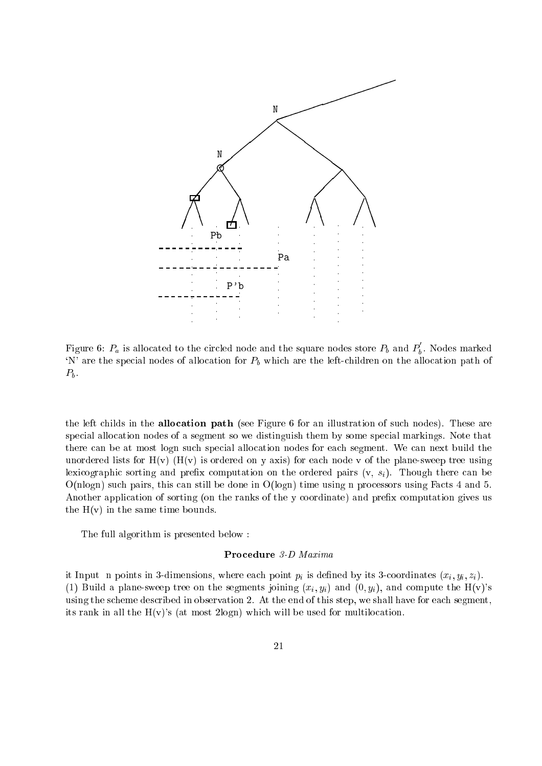

Figure 6:  $P_a$  is allocated to the circled node and the square nodes store  $P_b$  and  $P_b$  $\theta$ . Nodes marked marked marked matrix 'N' are the special nodes of allocation for  $P_b$  which are the left-children on the allocation path of  $P_b$ .

the left childs in the **allocation path** (see Figure 6 for an illustration of such nodes). These are special allocation nodes of a segment so we distinguish them by some special markings. Note that there can be at most logn such special allocation nodes for each segment. We can next build the unordered lists for  $H(v)$  ( $H(v)$ ) is ordered on y axis) for each node v of the plane-sweep tree using lexicographic sorting and prefix computation on the ordered pairs  $(v, s_i)$ . Though there can be  $O(n\log n)$  such pairs, this can still be done in  $O(\log n)$  time using n processors using Facts 4 and 5. Another application of sorting (on the ranks of the y coordinate) and prefix computation gives us the  $H(v)$  in the same time bounds.

The full algorithm is presented below :

## Procedure 3-D Maxima

it Input n points in 3-dimensions, where each point  $p_i$  is defined by its 3-coordinates  $(x_i, y_i, z_i)$ . (1) Build a plane-sweep tree on the segments joining  $(x_i, y_i)$  and  $(0, y_i)$ , and compute the H(v)'s using the scheme described in observation 2. At the end of this step, we shall have for each segment, its rank in all the  $H(v)$ 's (at most 2logn) which will be used for multilocation.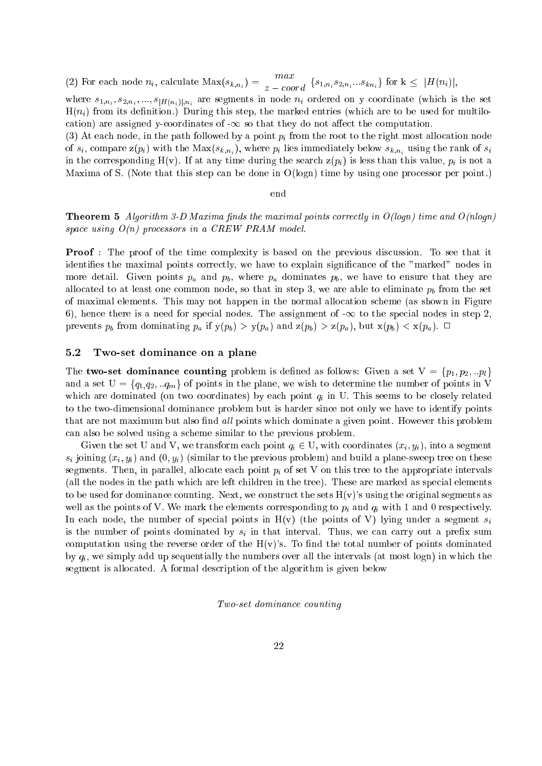(2) For each node  $n_i$ , calculate  $\text{Max}(s_{k,n_i}) = \frac{1}{z - coord} \{s_{1,n_i}s_{2,n_i}...s_{kn_i}\}\$  for  $k \leq |H(n_i)|$ ,

 $\mathcal{L}^{(1)}$ ;nii;is $\mathcal{L}^{(n)}$ ;nii;nii;nii;nii;nii) are see ordinate on y see ordinate (which se see ordinate on  $\mathcal{L}^{(n)}$  $H(n<sub>i</sub>)$  from its definition.) During this step, the marked entries (which are to be used for multilocation) are assigned y-coordinates of  $-\infty$  so that they do not affect the computation.

(3) At each node, in the path followed by a point  $p_i$  from the root to the right most allocation node of  $s_i$ , compare  $z(p_i)$  with the  $Max(s_{k,n_i})$ , where  $p_i$  lies immediately below  $s_{k,n_i}$  using the rank of  $s_i$ in the corresponding H(v). If at any time during the search  $z(p_i)$  is less than this value,  $p_i$  is not a Maxima of S. (Note that this step can be done in O(logn) time by using one processor per point.)

#### end

**Theorem 5** Algorithm 3-D Maxima finds the maximal points correctly in  $O(logn)$  time and  $O(n \log n)$ space using  $O(n)$  processors in a CREW PRAM model.

**Proof**: The proof of the time complexity is based on the previous discussion. To see that it identifies the maximal points correctly, we have to explain significance of the "marked" nodes in more detail. Given points  $p_a$  and  $p_b$ , where  $p_a$  dominates  $p_b$ , we have to ensure that they are allocated to at least one common node, so that in step 3, we are able to eliminate  $p_b$  from the set of maximal elements. This may not happen in the normal allo
ation s
heme (as shown in Figure 6), hence there is a need for special nodes. The assignment of  $-\infty$  to the special nodes in step 2, prevents  $p_b$  from dominating  $p_a$  if  $y(p_b) > y(p_a)$  and  $z(p_b) > z(p_a)$ , but  $x(p_b) < x(p_a)$ .

### 5.2 Two-set dominan
e on a plane

The two-set dominance counting problem is defined as follows: Given a set  $V = \{p_1, p_2, ... p_l\}$ and a set  $U = \{q_1, q_2, \ldots, q_m\}$  of points in the plane, we wish to determine the number of points in V which are dominated (on two coordinates) by each point  $q_i$  in U. This seems to be closely related to the two-dimensional dominan
e problem but is harder sin
e not only we have to identify points that are not maximum but also find *all* points which dominate a given point. However this problem an also be solved using a s
heme similar to the previous problem.

Given the set U and V, we transform each point  $q_i \in U$ , with coordinates  $(x_i, y_i)$ , into a segment  $s_i$  joining  $(x_i, y_i)$  and  $(0, y_i)$  (similar to the previous problem) and build a plane-sweep tree on these segments. Then, in parallel, allocate each point  $p_i$  of set V on this tree to the appropriate intervals (all the nodes in the path which are left children in the tree). These are marked as special elements to be used for dominance counting. Next, we construct the sets  $H(v)$ 's using the original segments as well as the points of V. We mark the elements corresponding to  $p_i$  and  $q_i$  with 1 and 0 respectively. In each node, the number of special points in  $H(v)$  (the points of V) lying under a segment  $s_i$ is the number of points dominated by  $s_i$  in that interval. Thus, we can carry out a prefix sum computation using the reverse order of the  $H(v)$ 's. To find the total number of points dominated by  $q_i$ , we simply add up sequentially the numbers over all the intervals (at most logn) in which the segment is allo
ated. A formal des
ription of the algorithm is given below

Two-set dominan
e ounting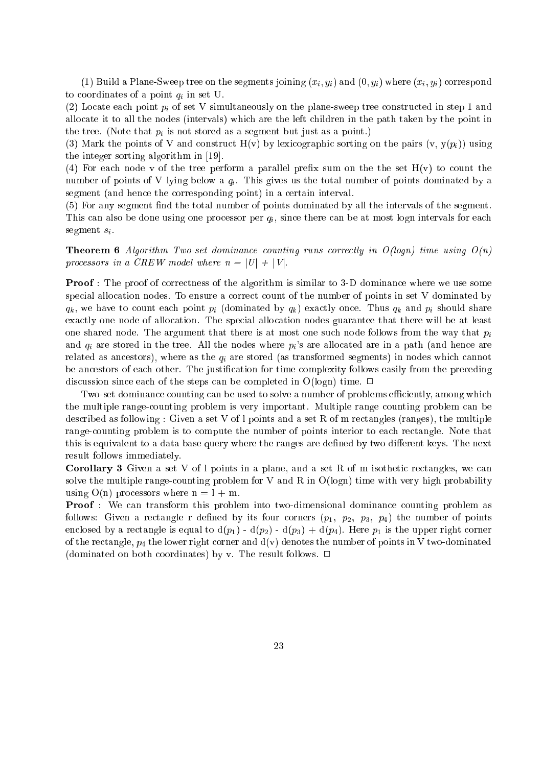(1) Build a Plane-Sweep tree on the segments joining  $(x_i, y_i)$  and  $(0, y_i)$  where  $(x_i, y_i)$  correspond to coordinates of a point  $q_i$  in set U.

(2) Locate each point  $p_i$  of set V simultaneously on the plane-sweep tree constructed in step 1 and allo
ate it to all the nodes (intervals) whi
h are the left hildren in the path taken by the point in the tree. (Note that  $p_i$  is not stored as a segment but just as a point.)

(3) Mark the points of V and construct  $H(v)$  by lexicographic sorting on the pairs  $(v, y(p_i))$  using the integer sorting algorithm in  $[19]$ .

(4) For each node v of the tree perform a parallel prefix sum on the the set  $H(v)$  to count the number of points of V lying below a  $q_i$ . This gives us the total number of points dominated by a segment (and hence the corresponding point) in a certain interval.

(5) For any segment find the total number of points dominated by all the intervals of the segment. This can also be done using one processor per  $q_i$ , since there can be at most logn intervals for each segment  $s_i$ .

**Theorem 6** Algorithm Two-set dominance counting runs correctly in  $O(logn)$  time using  $O(n)$ processors in a CREW model where  $n = |U| + |V|$ .

**Proof**: The proof of correctness of the algorithm is similar to 3-D dominance where we use some special allocation nodes. To ensure a correct count of the number of points in set V dominated by  $q_k$ , we have to count each point  $p_i$  (dominated by  $q_k$ ) exactly once. Thus  $q_k$  and  $p_i$  should share exactly one node of allocation. The special allocation nodes guarantee that there will be at least one shared node. The argument that there is at most one such node follows from the way that  $p_i$ and  $q_i$  are stored in the tree. All the nodes where  $p_i$ 's are allocated are in a path (and hence are related as ancestors), where as the  $q_i$  are stored (as transformed segments) in nodes which cannot be ancestors of each other. The justification for time complexity follows easily from the preceding discussion since each of the steps can be completed in  $O(logn)$  time.  $\Box$ 

Two-set dominance counting can be used to solve a number of problems efficiently, among which the multiple rangeounting problem is very important. Multiple range ounting problem an be described as following : Given a set V of l points and a set R of m rectangles (ranges), the multiple range-counting problem is to compute the number of points interior to each rectangle. Note that this is equivalent to a data base query where the ranges are defined by two different keys. The next result follows immediately.

**Corollary 3** Given a set V of l points in a plane, and a set R of m isothetic rectangles, we can solve the multiple rangeounting problem for V and R in O(logn) time with very high probability using  $O(n)$  processors where  $n = 1 + m$ .

**Proof**: We can transform this problem into two-dimensional dominance counting problem as follows: Given a rectangle r defined by its four corners  $(p_1, p_2, p_3, p_4)$  the number of points en losed by a reduced by a represented in the upper particle in the upper particle in the upper representation of the re
tangle, p4 the lower right orner and d(v) denotes the number of points in <sup>V</sup> two-dominated (dominated on both coordinates) by v. The result follows.  $\Box$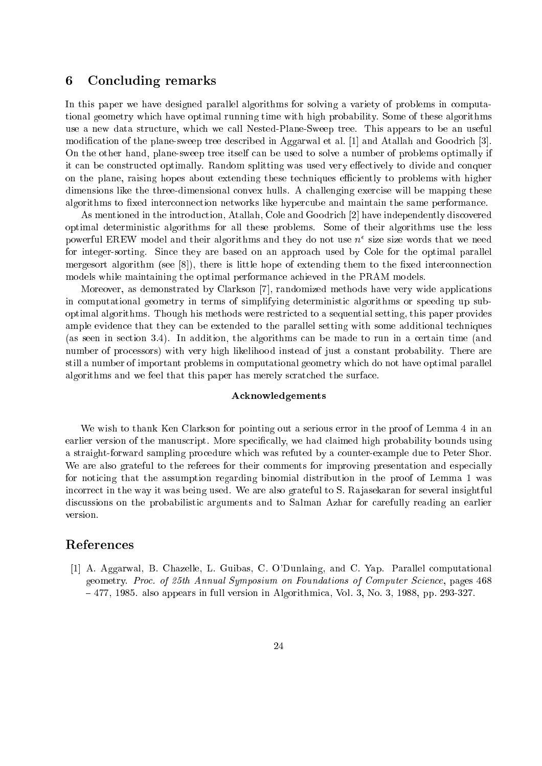## 6 Con
luding remarks

In this paper we have designed parallel algorithms for solving a variety of problems in omputational geometry whi
h have optimal running time with high probability. Some of these algorithms use a new data stru
ture, whi
h we all Nested-Plane-Sweep tree. This appears to be an useful modification of the plane-sweep tree described in Aggarwal et al. [1] and Atallah and Goodrich [3]. On the other hand, plane-sweep tree itself can be used to solve a number of problems optimally if it can be constructed optimally. Random splitting was used very effectively to divide and conquer on the plane, raising hopes about extending these techniques efficiently to problems with higher dimensions like the three-dimensional convex hulls. A challenging exercise will be mapping these algorithms to fixed interconnection networks like hypercube and maintain the same performance.

As mentioned in the introduction, Atallah, Cole and Goodrich [2] have independently discovered optimal deterministi algorithms for all these problems. Some of their algorithms use the less powerful EREW model and their algorithms and they do not use  $n^2$  size size words that we need for integer-sorting. Since they are based on an approach used by Cole for the optimal parallel mergesort algorithm (see  $[8]$ ), there is little hope of extending them to the fixed interconnection models while maintaining the optimal performan
e a
hieved in the PRAM models.

Moreover, as demonstrated by Clarkson  $[7]$ , randomized methods have very wide applications in omputational geometry in terms of simplifying deterministi algorithms or speeding up suboptimal algorithms. Though his methods were restri
ted to a sequential setting, this paper provides ample evidence that they can be extended to the parallel setting with some additional techniques (as seen in se
tion 3.4). In addition, the algorithms an be made to run in a ertain time (and number of processors) with very high likelihood instead of just a constant probability. There are still a number of important problems in omputational geometry whi
h do not have optimal parallel algorithms and we feel that this paper has merely s
rat
hed the surfa
e.

#### **Acknowledgements**

We wish to thank Ken Clarkson for pointing out a serious error in the proof of Lemma 4 in an earlier version of the manuscript. More specifically, we had claimed high probability bounds using a straight-forward sampling pro
edure whi
h was refuted by a ounter-example due to Peter Shor. We are also grateful to the referees for their comments for improving presentation and especially for noti
ing that the assumption regarding binomial distribution in the proof of Lemma 1 was incorrect in the way it was being used. We are also grateful to S. Rajasekaran for several insightful discussions on the probabilistic arguments and to Salman Azhar for carefully reading an earlier version.

## Referen
es

[1] A. Aggarwal, B. Chazelle, L. Guibas, C. O'Dunlaing, and C. Yap. Parallel computational geometry. Proc. of 25th Annual Symposium on Foundations of Computer Science, pages 468 { 477, 1985. also appears in full version in Algorithmi
a, Vol. 3, No. 3, 1988, pp. 293-327.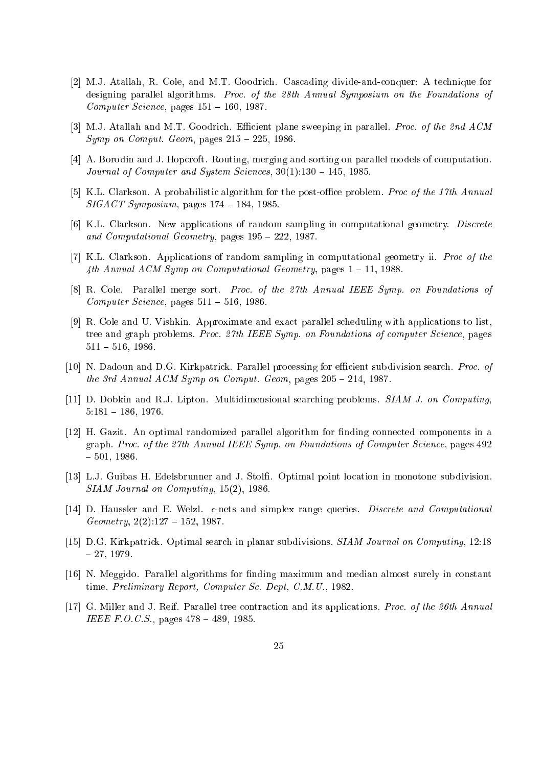- [2] M.J. Atallah, R. Cole, and M.T. Goodrich. Cascading divide-and-conquer: A technique for designing parallel algorithms. Proc. of the 28th Annual Symposium on the Foundations of Computer Science, pages  $151 - 160$ , 1987.
- [3] M.J. Atallah and M.T. Goodrich. Efficient plane sweeping in parallel. *Proc. of the 2nd ACM* Symp on Comput. Geom, pages  $215 - 225$ , 1986.
- [4] A. Borodin and J. Hopcroft. Routing, merging and sorting on parallel models of computation. Journal of Computer and System Sciences,  $30(1):130 - 145$ , 1985.
- [5] K.L. Clarkson. A probabilistic algorithm for the post-office problem. *Proc of the 17th Annual*  $SIGACT$  Symposium, pages  $174 - 184$ , 1985.
- [6] K.L. Clarkson. New applications of random sampling in computational geometry. Discrete and Computational Geometry, pages  $195 - 222$ , 1987.
- [7] K.L. Clarkson. Applications of random sampling in computational geometry ii. Proc of the 4th Annual ACM Symp on Computational Geometry, pages  $1 - 11$ , 1988.
- [8] R. Cole. Parallel merge sort. Proc. of the 27th Annual IEEE Symp. on Foundations of Computer Science, pages  $511 - 516$ , 1986.
- [9] R. Cole and U. Vishkin. Approximate and exact parallel scheduling with applications to list, tree and graph problems. Proc. 27th IEEE Symp. on Foundations of computer Science, pages  $511 - 516, 1986.$
- [10] N. Dadoun and D.G. Kirkpatrick. Parallel processing for efficient subdivision search. *Proc. of* the 3rd Annual ACM Symp on Comput. Geom, pages  $205 - 214$ , 1987.
- [11] D. Dobkin and R.J. Lipton. Multidimensional searching problems. *SIAM J. on Computing*,  $5:181 - 186, 1976.$
- [12] H. Gazit. An optimal randomized parallel algorithm for finding connected components in a graph. Pro
. of the 27th Annual IEEE Symp. on Foundations of Computer S
ien
e, pages 492  $-501, 1986.$
- [13] L.J. Guibas H. Edelsbrunner and J. Stolfi. Optimal point location in monotone subdivision. SIAM Journal on Computing, 15(2), 1986.
- [14] D. Haussler and E. Welzl.  $\epsilon$ -nets and simplex range queries. *Discrete and Computational*  $Geometry, 2(2): 127 - 152, 1987.$
- [15] D.G. Kirkpatrick. Optimal search in planar subdivisions. SIAM Journal on Computing, 12:18  $-27, 1979.$
- [16] N. Meggido. Parallel algorithms for finding maximum and median almost surely in constant time. Preliminary Report, Computer Sc. Dept, C.M.U., 1982.
- [17] G. Miller and J. Reif. Parallel tree contraction and its applications. Proc. of the 26th Annual IEEE F.O.C.S., pages  $478 - 489$ , 1985.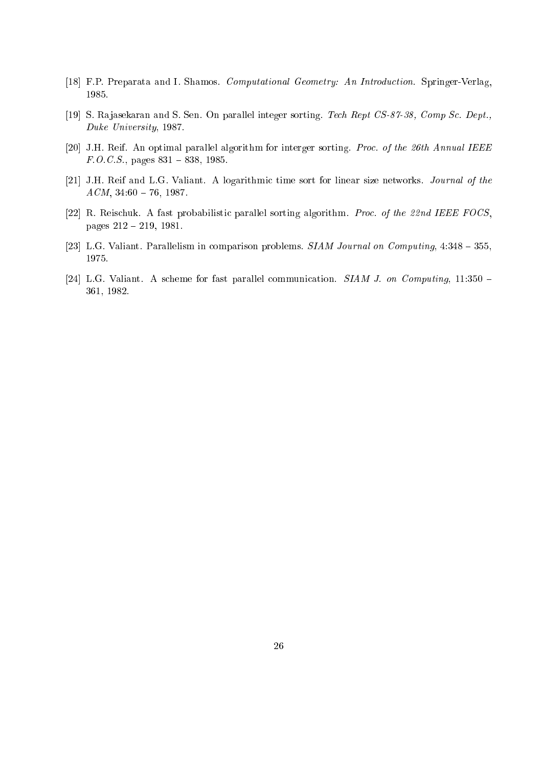- [18] F.P. Preparata and I. Shamos. Computational Geometry: An Introduction. Springer-Verlag, 1985.
- [19] S. Rajasekaran and S. Sen. On parallel integer sorting. Tech Rept  $CS-87-38$ , Comp Sc. Dept., Duke University, 1987.
- [20] J.H. Reif. An optimal parallel algorithm for interger sorting. Proc. of the 26th Annual IEEE  $F. O. C.S.,$  pages  $831 - 838, 1985.$
- [21] J.H. Reif and L.G. Valiant. A logarithmic time sort for linear size networks. Journal of the  $ACM$ , 34:60 - 76, 1987.
- [22] R. Reischuk. A fast probabilistic parallel sorting algorithm. Proc. of the 22nd IEEE FOCS, pages  $212 - 219$ , 1981.
- [23] L.G. Valiant. Parallelism in comparison problems.  $SIAM\ Journal\ on\ Computing$ , 4:348 355, 1975.
- [24] L.G. Valiant. A scheme for fast parallel communication.  $SIAM J.$  on Computing, 11:350 -361, 1982.